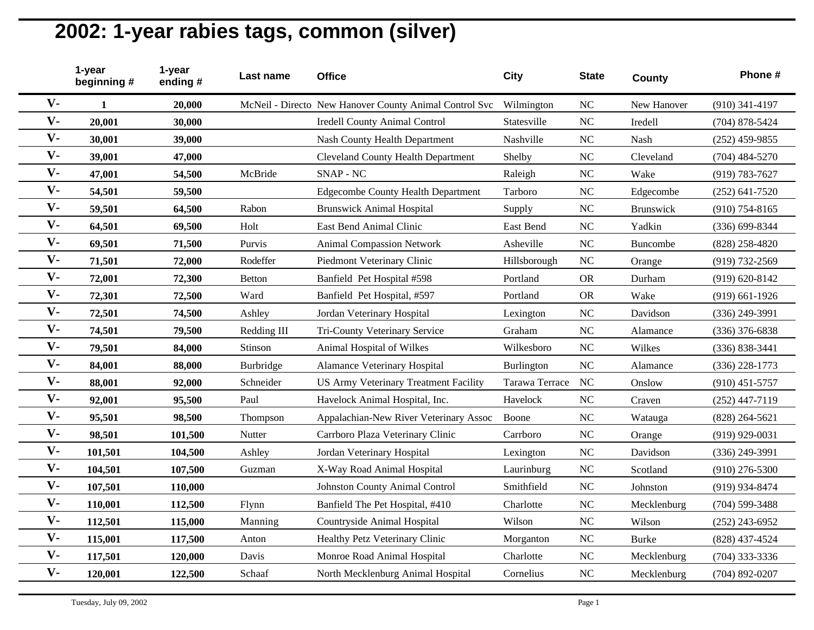|       | 1-year<br>beginning# | 1-year<br>ending# | Last name     | <b>Office</b>                                          | <b>City</b>       | <b>State</b> | County       | Phone #            |
|-------|----------------------|-------------------|---------------|--------------------------------------------------------|-------------------|--------------|--------------|--------------------|
| $V -$ | 1                    | 20,000            |               | McNeil - Directo New Hanover County Animal Control Svc | Wilmington        | <b>NC</b>    | New Hanover  | $(910)$ 341-4197   |
| $V -$ | 20,001               | 30,000            |               | <b>Iredell County Animal Control</b>                   | Statesville       | <b>NC</b>    | Iredell      | $(704)$ 878-5424   |
| $V -$ | 30,001               | 39,000            |               | Nash County Health Department                          | Nashville         | NC           | Nash         | $(252)$ 459-9855   |
| $V -$ | 39,001               | 47,000            |               | <b>Cleveland County Health Department</b>              | Shelby            | NC           | Cleveland    | $(704)$ 484-5270   |
| $V -$ | 47,001               | 54,500            | McBride       | SNAP - NC                                              | Raleigh           | NC           | Wake         | (919) 783-7627     |
| $V -$ | 54,501               | 59,500            |               | <b>Edgecombe County Health Department</b>              | Tarboro           | <b>NC</b>    | Edgecombe    | $(252) 641 - 7520$ |
| $V -$ | 59,501               | 64,500            | Rabon         | <b>Brunswick Animal Hospital</b>                       | Supply            | NC           | Brunswick    | $(910)$ 754-8165   |
| $V -$ | 64,501               | 69,500            | Holt          | East Bend Animal Clinic                                | East Bend         | NC           | Yadkin       | (336) 699-8344     |
| $V -$ | 69,501               | 71,500            | Purvis        | <b>Animal Compassion Network</b>                       | Asheville         | NC           | Buncombe     | (828) 258-4820     |
| $V -$ | 71,501               | 72,000            | Rodeffer      | Piedmont Veterinary Clinic                             | Hillsborough      | NC           | Orange       | (919) 732-2569     |
| $V -$ | 72,001               | 72,300            | <b>Betton</b> | Banfield Pet Hospital #598                             | Portland          | <b>OR</b>    | Durham       | $(919) 620 - 8142$ |
| $V -$ | 72,301               | 72,500            | Ward          | Banfield Pet Hospital, #597                            | Portland          | <b>OR</b>    | Wake         | $(919)$ 661-1926   |
| $V -$ | 72,501               | 74,500            | Ashley        | Jordan Veterinary Hospital                             | Lexington         | NC           | Davidson     | (336) 249-3991     |
| $V -$ | 74,501               | 79,500            | Redding III   | Tri-County Veterinary Service                          | Graham            | <b>NC</b>    | Alamance     | $(336)$ 376-6838   |
| $V -$ | 79,501               | 84,000            | Stinson       | Animal Hospital of Wilkes                              | Wilkesboro        | NC           | Wilkes       | $(336) 838 - 3441$ |
| $V -$ | 84,001               | 88,000            | Burbridge     | <b>Alamance Veterinary Hospital</b>                    | <b>Burlington</b> | <b>NC</b>    | Alamance     | $(336)$ 228-1773   |
| $V -$ | 88,001               | 92,000            | Schneider     | US Army Veterinary Treatment Facility                  | Tarawa Terrace    | NC           | Onslow       | $(910)$ 451-5757   |
| $V -$ | 92,001               | 95,500            | Paul          | Havelock Animal Hospital, Inc.                         | Havelock          | <b>NC</b>    | Craven       | $(252)$ 447-7119   |
| $V -$ | 95,501               | 98,500            | Thompson      | Appalachian-New River Veterinary Assoc                 | Boone             | <b>NC</b>    | Watauga      | $(828)$ 264-5621   |
| $V -$ | 98,501               | 101,500           | Nutter        | Carrboro Plaza Veterinary Clinic                       | Carrboro          | <b>NC</b>    | Orange       | $(919)$ 929-0031   |
| $V -$ | 101,501              | 104,500           | Ashley        | Jordan Veterinary Hospital                             | Lexington         | NC           | Davidson     | $(336)$ 249-3991   |
| $V -$ | 104,501              | 107,500           | Guzman        | X-Way Road Animal Hospital                             | Laurinburg        | NC           | Scotland     | $(910)$ 276-5300   |
| $V -$ | 107,501              | 110,000           |               | <b>Johnston County Animal Control</b>                  | Smithfield        | <b>NC</b>    | Johnston     | (919) 934-8474     |
| $V -$ | 110,001              | 112,500           | Flynn         | Banfield The Pet Hospital, #410                        | Charlotte         | <b>NC</b>    | Mecklenburg  | $(704)$ 599-3488   |
| $V -$ | 112,501              | 115,000           | Manning       | Countryside Animal Hospital                            | Wilson            | <b>NC</b>    | Wilson       | $(252)$ 243-6952   |
| $V -$ | 115,001              | 117,500           | Anton         | Healthy Petz Veterinary Clinic                         | Morganton         | NC           | <b>Burke</b> | (828) 437-4524     |
| $V -$ | 117,501              | 120,000           | Davis         | Monroe Road Animal Hospital                            | Charlotte         | NC           | Mecklenburg  | $(704)$ 333-3336   |
| $V -$ | 120,001              | 122,500           | Schaaf        | North Mecklenburg Animal Hospital                      | Cornelius         | <b>NC</b>    | Mecklenburg  | $(704)$ 892-0207   |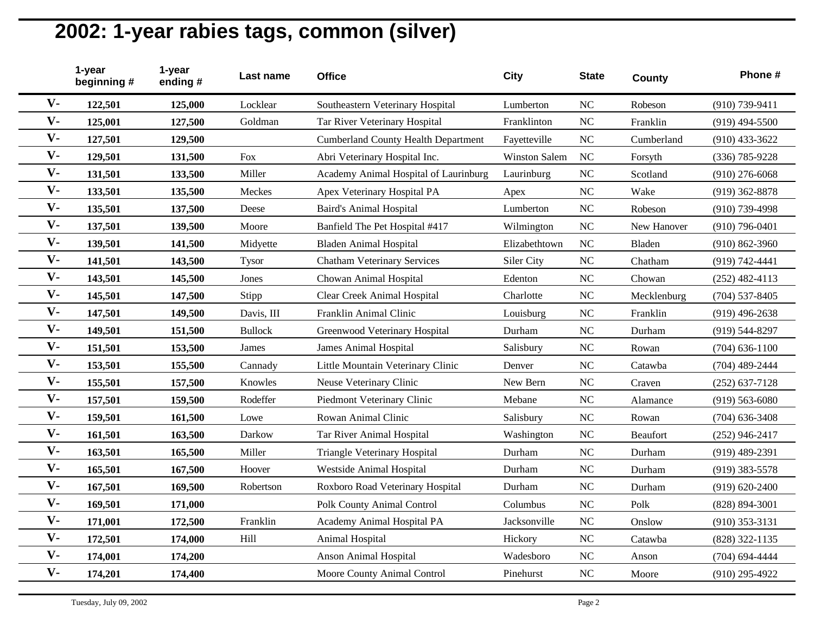|                | 1-year<br>beginning# | 1-year<br>ending# | Last name      | <b>Office</b>                              | City          | <b>State</b> | County      | Phone #            |
|----------------|----------------------|-------------------|----------------|--------------------------------------------|---------------|--------------|-------------|--------------------|
| $V -$          | 122,501              | 125,000           | Locklear       | Southeastern Veterinary Hospital           | Lumberton     | <b>NC</b>    | Robeson     | (910) 739-9411     |
| $V -$          | 125,001              | 127,500           | Goldman        | Tar River Veterinary Hospital              | Franklinton   | <b>NC</b>    | Franklin    | $(919)$ 494-5500   |
| $V -$          | 127,501              | 129,500           |                | <b>Cumberland County Health Department</b> | Fayetteville  | NC           | Cumberland  | $(910)$ 433-3622   |
| $V -$          | 129,501              | 131,500           | Fox            | Abri Veterinary Hospital Inc.              | Winston Salem | NC           | Forsyth     | (336) 785-9228     |
| $V -$          | 131,501              | 133,500           | Miller         | Academy Animal Hospital of Laurinburg      | Laurinburg    | NC           | Scotland    | $(910)$ 276-6068   |
| $V -$          | 133,501              | 135,500           | Meckes         | Apex Veterinary Hospital PA                | Apex          | NC           | Wake        | $(919)$ 362-8878   |
| $V -$          | 135,501              | 137,500           | Deese          | <b>Baird's Animal Hospital</b>             | Lumberton     | NC           | Robeson     | $(910)$ 739-4998   |
| $V -$          | 137,501              | 139,500           | Moore          | Banfield The Pet Hospital #417             | Wilmington    | NC           | New Hanover | $(910)$ 796-0401   |
| $V -$          | 139,501              | 141,500           | Midyette       | <b>Bladen Animal Hospital</b>              | Elizabethtown | <b>NC</b>    | Bladen      | $(910) 862 - 3960$ |
| $V -$          | 141,501              | 143,500           | <b>Tysor</b>   | <b>Chatham Veterinary Services</b>         | Siler City    | NC           | Chatham     | (919) 742-4441     |
| $V -$          | 143,501              | 145,500           | Jones          | Chowan Animal Hospital                     | Edenton       | NC           | Chowan      | $(252)$ 482-4113   |
| $V -$          | 145,501              | 147,500           | Stipp          | <b>Clear Creek Animal Hospital</b>         | Charlotte     | <b>NC</b>    | Mecklenburg | $(704)$ 537-8405   |
| $V -$          | 147,501              | 149,500           | Davis, III     | Franklin Animal Clinic                     | Louisburg     | <b>NC</b>    | Franklin    | $(919)$ 496-2638   |
| $V -$          | 149,501              | 151,500           | <b>Bullock</b> | Greenwood Veterinary Hospital              | Durham        | NC           | Durham      | (919) 544-8297     |
| $V -$          | 151,501              | 153,500           | James          | <b>James Animal Hospital</b>               | Salisbury     | NC           | Rowan       | $(704) 636 - 1100$ |
| $\mathbf{V}$ - | 153,501              | 155,500           | Cannady        | Little Mountain Veterinary Clinic          | Denver        | <b>NC</b>    | Catawba     | (704) 489-2444     |
| $V -$          | 155,501              | 157,500           | Knowles        | Neuse Veterinary Clinic                    | New Bern      | NC           | Craven      | $(252)$ 637-7128   |
| $V -$          | 157,501              | 159,500           | Rodeffer       | Piedmont Veterinary Clinic                 | Mebane        | <b>NC</b>    | Alamance    | $(919) 563 - 6080$ |
| $V -$          | 159,501              | 161,500           | Lowe           | Rowan Animal Clinic                        | Salisbury     | <b>NC</b>    | Rowan       | $(704)$ 636-3408   |
| $V -$          | 161,501              | 163,500           | Darkow         | Tar River Animal Hospital                  | Washington    | <b>NC</b>    | Beaufort    | $(252)$ 946-2417   |
| $V -$          | 163,501              | 165,500           | Miller         | <b>Triangle Veterinary Hospital</b>        | Durham        | NC           | Durham      | $(919)$ 489-2391   |
| $V -$          | 165,501              | 167,500           | Hoover         | Westside Animal Hospital                   | Durham        | <b>NC</b>    | Durham      | $(919)$ 383-5578   |
| $V -$          | 167,501              | 169,500           | Robertson      | Roxboro Road Veterinary Hospital           | Durham        | <b>NC</b>    | Durham      | $(919) 620 - 2400$ |
| $V -$          | 169,501              | 171,000           |                | <b>Polk County Animal Control</b>          | Columbus      | NC           | Polk        | $(828) 894 - 3001$ |
| $V -$          | 171,001              | 172,500           | Franklin       | Academy Animal Hospital PA                 | Jacksonville  | NC           | Onslow      | $(910)$ 353-3131   |
| $V -$          | 172,501              | 174,000           | Hill           | Animal Hospital                            | Hickory       | <b>NC</b>    | Catawba     | (828) 322-1135     |
| $V -$          | 174,001              | 174,200           |                | <b>Anson Animal Hospital</b>               | Wadesboro     | <b>NC</b>    | Anson       | $(704)$ 694-4444   |
| $V -$          | 174,201              | 174,400           |                | Moore County Animal Control                | Pinehurst     | <b>NC</b>    | Moore       | $(910)$ 295-4922   |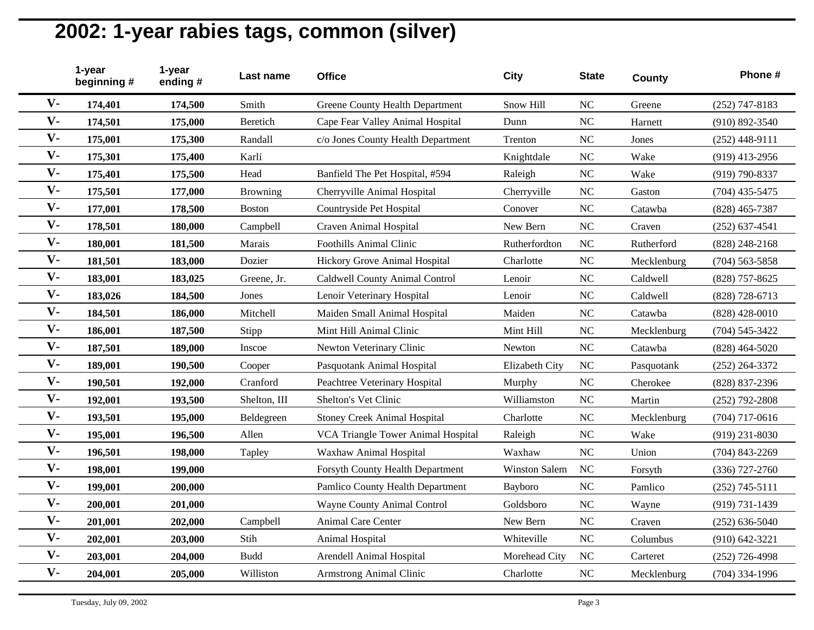|                | 1-year<br>beginning# | 1-year<br>ending# | Last name       | <b>Office</b>                          | <b>City</b>    | <b>State</b> | County      | Phone #            |
|----------------|----------------------|-------------------|-----------------|----------------------------------------|----------------|--------------|-------------|--------------------|
| $V -$          | 174,401              | 174,500           | Smith           | <b>Greene County Health Department</b> | Snow Hill      | <b>NC</b>    | Greene      | $(252)$ 747-8183   |
| $V -$          | 174,501              | 175,000           | Beretich        | Cape Fear Valley Animal Hospital       | Dunn           | <b>NC</b>    | Harnett     | $(910) 892 - 3540$ |
| $V -$          | 175,001              | 175,300           | Randall         | c/o Jones County Health Department     | Trenton        | NC           | Jones       | $(252)$ 448-9111   |
| $V -$          | 175,301              | 175,400           | Karli           |                                        | Knightdale     | NC           | Wake        | $(919)$ 413-2956   |
| $V -$          | 175,401              | 175,500           | Head            | Banfield The Pet Hospital, #594        | Raleigh        | NC           | Wake        | (919) 790-8337     |
| $V -$          | 175,501              | 177,000           | <b>Browning</b> | Cherryville Animal Hospital            | Cherryville    | <b>NC</b>    | Gaston      | $(704)$ 435-5475   |
| $V -$          | 177,001              | 178,500           | <b>Boston</b>   | Countryside Pet Hospital               | Conover        | <b>NC</b>    | Catawba     | $(828)$ 465-7387   |
| $V -$          | 178,501              | 180,000           | Campbell        | Craven Animal Hospital                 | New Bern       | NC           | Craven      | $(252) 637 - 4541$ |
| $V -$          | 180,001              | 181,500           | Marais          | <b>Foothills Animal Clinic</b>         | Rutherfordton  | NC           | Rutherford  | $(828)$ 248-2168   |
| $V -$          | 181,501              | 183,000           | Dozier          | Hickory Grove Animal Hospital          | Charlotte      | <b>NC</b>    | Mecklenburg | $(704)$ 563-5858   |
| $V -$          | 183,001              | 183,025           | Greene, Jr.     | Caldwell County Animal Control         | Lenoir         | NC           | Caldwell    | (828) 757-8625     |
| $V -$          | 183,026              | 184,500           | Jones           | Lenoir Veterinary Hospital             | Lenoir         | <b>NC</b>    | Caldwell    | (828) 728-6713     |
| $V -$          | 184,501              | 186,000           | Mitchell        | Maiden Small Animal Hospital           | Maiden         | NC           | Catawba     | $(828)$ 428-0010   |
| $\mathbf{V}$ - | 186,001              | 187,500           | Stipp           | Mint Hill Animal Clinic                | Mint Hill      | <b>NC</b>    | Mecklenburg | $(704) 545 - 3422$ |
| $V -$          | 187,501              | 189,000           | Inscoe          | Newton Veterinary Clinic               | Newton         | NC           | Catawba     | $(828)$ 464-5020   |
| $V -$          | 189,001              | 190,500           | Cooper          | Pasquotank Animal Hospital             | Elizabeth City | <b>NC</b>    | Pasquotank  | $(252)$ 264-3372   |
| $V -$          | 190,501              | 192,000           | Cranford        | Peachtree Veterinary Hospital          | Murphy         | NC           | Cherokee    | (828) 837-2396     |
| $V -$          | 192,001              | 193,500           | Shelton, III    | Shelton's Vet Clinic                   | Williamston    | NC           | Martin      | $(252)$ 792-2808   |
| $V -$          | 193,501              | 195,000           | Beldegreen      | <b>Stoney Creek Animal Hospital</b>    | Charlotte      | NC           | Mecklenburg | $(704)$ 717-0616   |
| $V -$          | 195,001              | 196,500           | Allen           | VCA Triangle Tower Animal Hospital     | Raleigh        | <b>NC</b>    | Wake        | $(919)$ 231-8030   |
| $V -$          | 196,501              | 198,000           | Tapley          | Waxhaw Animal Hospital                 | Waxhaw         | NC           | Union       | $(704)$ 843-2269   |
| $V -$          | 198,001              | 199,000           |                 | Forsyth County Health Department       | Winston Salem  | <b>NC</b>    | Forsyth     | $(336)$ 727-2760   |
| $V -$          | 199,001              | 200,000           |                 | Pamlico County Health Department       | Bayboro        | NC           | Pamlico     | $(252)$ 745-5111   |
| $V -$          | 200,001              | 201,000           |                 | Wayne County Animal Control            | Goldsboro      | NC           | Wayne       | (919) 731-1439     |
| $V -$          | 201,001              | 202,000           | Campbell        | Animal Care Center                     | New Bern       | NC           | Craven      | $(252) 636 - 5040$ |
| $V -$          | 202,001              | 203,000           | Stih            | Animal Hospital                        | Whiteville     | NC           | Columbus    | $(910) 642 - 3221$ |
| $V -$          | 203,001              | 204,000           | <b>Budd</b>     | Arendell Animal Hospital               | Morehead City  | NC           | Carteret    | $(252)$ 726-4998   |
| $V -$          | 204,001              | 205,000           | Williston       | Armstrong Animal Clinic                | Charlotte      | <b>NC</b>    | Mecklenburg | $(704)$ 334-1996   |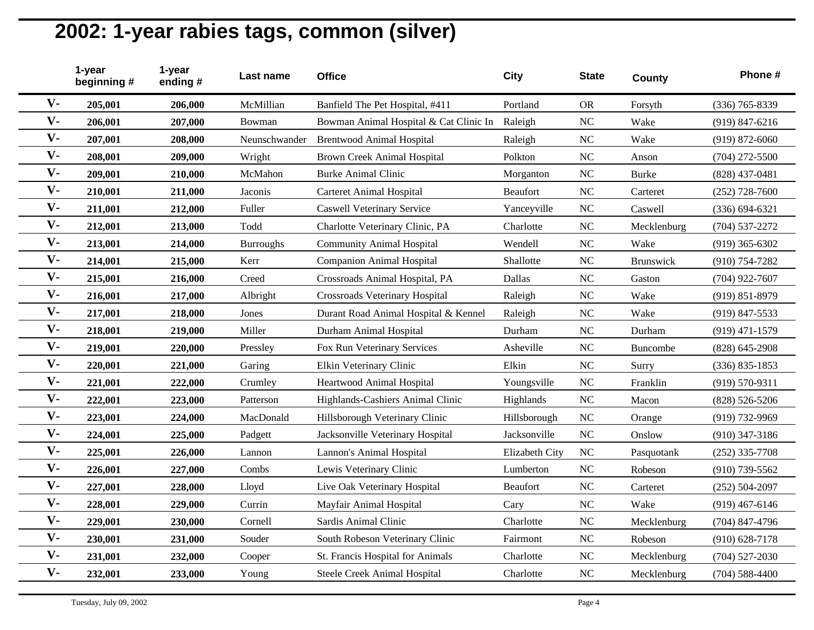|                | 1-year<br>beginning# | 1-year<br>ending# | Last name        | <b>Office</b>                          | <b>City</b>    | <b>State</b> | <b>County</b>   | Phone #            |
|----------------|----------------------|-------------------|------------------|----------------------------------------|----------------|--------------|-----------------|--------------------|
| $V -$          | 205,001              | 206,000           | McMillian        | Banfield The Pet Hospital, #411        | Portland       | <b>OR</b>    | Forsyth         | (336) 765-8339     |
| $V -$          | 206,001              | 207,000           | Bowman           | Bowman Animal Hospital & Cat Clinic In | Raleigh        | <b>NC</b>    | Wake            | $(919) 847 - 6216$ |
| $V -$          | 207,001              | 208,000           | Neunschwander    | <b>Brentwood Animal Hospital</b>       | Raleigh        | NC           | Wake            | $(919) 872 - 6060$ |
| $V -$          | 208,001              | 209,000           | Wright           | <b>Brown Creek Animal Hospital</b>     | Polkton        | NC           | Anson           | $(704)$ 272-5500   |
| $V -$          | 209,001              | 210,000           | McMahon          | <b>Burke Animal Clinic</b>             | Morganton      | NC           | <b>Burke</b>    | $(828)$ 437-0481   |
| $V -$          | 210,001              | 211,000           | Jaconis          | <b>Carteret Animal Hospital</b>        | Beaufort       | NC           | Carteret        | $(252)$ 728-7600   |
| $V -$          | 211,001              | 212,000           | Fuller           | <b>Caswell Veterinary Service</b>      | Yanceyville    | NC           | Caswell         | $(336) 694 - 6321$ |
| $V -$          | 212,001              | 213,000           | Todd             | Charlotte Veterinary Clinic, PA        | Charlotte      | NC           | Mecklenburg     | $(704) 537 - 2272$ |
| $V -$          | 213,001              | 214,000           | <b>Burroughs</b> | <b>Community Animal Hospital</b>       | Wendell        | <b>NC</b>    | Wake            | $(919)$ 365-6302   |
| $V -$          | 214,001              | 215,000           | Kerr             | <b>Companion Animal Hospital</b>       | Shallotte      | NC           | Brunswick       | $(910) 754 - 7282$ |
| $V -$          | 215,001              | 216,000           | Creed            | Crossroads Animal Hospital, PA         | Dallas         | NC           | Gaston          | $(704)$ 922-7607   |
| $V -$          | 216,001              | 217,000           | Albright         | <b>Crossroads Veterinary Hospital</b>  | Raleigh        | <b>NC</b>    | Wake            | $(919) 851 - 8979$ |
| $V -$          | 217,001              | 218,000           | Jones            | Durant Road Animal Hospital & Kennel   | Raleigh        | <b>NC</b>    | Wake            | $(919)$ 847-5533   |
| $V -$          | 218,001              | 219,000           | Miller           | Durham Animal Hospital                 | Durham         | NC           | Durham          | $(919)$ 471-1579   |
| $V -$          | 219,001              | 220,000           | Pressley         | Fox Run Veterinary Services            | Asheville      | NC           | <b>Buncombe</b> | $(828) 645 - 2908$ |
| $\mathbf{V}$ - | 220,001              | 221,000           | Garing           | Elkin Veterinary Clinic                | Elkin          | <b>NC</b>    | Surry           | $(336) 835 - 1853$ |
| $V -$          | 221,001              | 222,000           | Crumley          | Heartwood Animal Hospital              | Youngsville    | NC           | Franklin        | $(919) 570 - 9311$ |
| $V -$          | 222,001              | 223,000           | Patterson        | Highlands-Cashiers Animal Clinic       | Highlands      | <b>NC</b>    | Macon           | $(828) 526 - 5206$ |
| $V -$          | 223,001              | 224,000           | MacDonald        | Hillsborough Veterinary Clinic         | Hillsborough   | NC           | Orange          | (919) 732-9969     |
| $V -$          | 224,001              | 225,000           | Padgett          | Jacksonville Veterinary Hospital       | Jacksonville   | <b>NC</b>    | Onslow          | $(910)$ 347-3186   |
| $V -$          | 225,001              | 226,000           | Lannon           | Lannon's Animal Hospital               | Elizabeth City | <b>NC</b>    | Pasquotank      | $(252)$ 335-7708   |
| $V -$          | 226,001              | 227,000           | Combs            | Lewis Veterinary Clinic                | Lumberton      | <b>NC</b>    | Robeson         | $(910)$ 739-5562   |
| $V -$          | 227,001              | 228,000           | Lloyd            | Live Oak Veterinary Hospital           | Beaufort       | <b>NC</b>    | Carteret        | $(252) 504 - 2097$ |
| $V -$          | 228,001              | 229,000           | Currin           | Mayfair Animal Hospital                | Cary           | NC           | Wake            | $(919)$ 467-6146   |
| $V -$          | 229,001              | 230,000           | Cornell          | Sardis Animal Clinic                   | Charlotte      | <b>NC</b>    | Mecklenburg     | $(704)$ 847-4796   |
| $V -$          | 230,001              | 231,000           | Souder           | South Robeson Veterinary Clinic        | Fairmont       | NC           | Robeson         | $(910) 628 - 7178$ |
| $V -$          | 231,001              | 232,000           | Cooper           | St. Francis Hospital for Animals       | Charlotte      | <b>NC</b>    | Mecklenburg     | $(704) 527 - 2030$ |
| $V -$          | 232,001              | 233,000           | Young            | Steele Creek Animal Hospital           | Charlotte      | <b>NC</b>    | Mecklenburg     | $(704) 588 - 4400$ |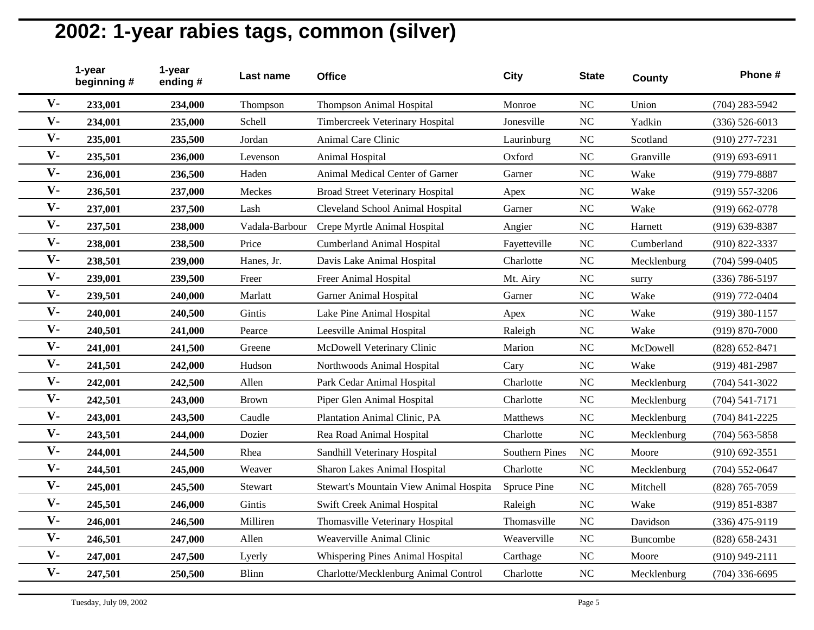|       | 1-year<br>beginning# | 1-year<br>ending# | Last name      | <b>Office</b>                           | <b>City</b>           | <b>State</b>   | County      | Phone #            |
|-------|----------------------|-------------------|----------------|-----------------------------------------|-----------------------|----------------|-------------|--------------------|
| $V -$ | 233,001              | 234,000           | Thompson       | <b>Thompson Animal Hospital</b>         | Monroe                | <b>NC</b>      | Union       | $(704)$ 283-5942   |
| $V -$ | 234,001              | 235,000           | Schell         | Timbercreek Veterinary Hospital         | Jonesville            | <b>NC</b>      | Yadkin      | $(336) 526 - 6013$ |
| $V -$ | 235,001              | 235,500           | Jordan         | Animal Care Clinic                      | Laurinburg            | NC             | Scotland    | $(910)$ 277-7231   |
| $V -$ | 235,501              | 236,000           | Levenson       | Animal Hospital                         | Oxford                | <b>NC</b>      | Granville   | $(919) 693 - 6911$ |
| $V -$ | 236,001              | 236,500           | Haden          | Animal Medical Center of Garner         | Garner                | NC             | Wake        | $(919)$ 779-8887   |
| $V -$ | 236,501              | 237,000           | Meckes         | <b>Broad Street Veterinary Hospital</b> | Apex                  | <b>NC</b>      | Wake        | $(919)$ 557-3206   |
| $V -$ | 237,001              | 237,500           | Lash           | Cleveland School Animal Hospital        | Garner                | <b>NC</b>      | Wake        | $(919) 662 - 0778$ |
| $V -$ | 237,501              | 238,000           | Vadala-Barbour | Crepe Myrtle Animal Hospital            | Angier                | <b>NC</b>      | Harnett     | $(919)$ 639-8387   |
| $V -$ | 238,001              | 238,500           | Price          | <b>Cumberland Animal Hospital</b>       | Fayetteville          | NC             | Cumberland  | $(910) 822 - 3337$ |
| $V -$ | 238,501              | 239,000           | Hanes, Jr.     | Davis Lake Animal Hospital              | Charlotte             | <b>NC</b>      | Mecklenburg | $(704) 599 - 0405$ |
| $V -$ | 239,001              | 239,500           | Freer          | Freer Animal Hospital                   | Mt. Airy              | N <sub>C</sub> | surry       | $(336) 786 - 5197$ |
| $V -$ | 239,501              | 240,000           | Marlatt        | <b>Garner Animal Hospital</b>           | Garner                | <b>NC</b>      | Wake        | (919) 772-0404     |
| $V -$ | 240,001              | 240,500           | Gintis         | Lake Pine Animal Hospital               | Apex                  | <b>NC</b>      | Wake        | $(919)$ 380-1157   |
| $V -$ | 240,501              | 241,000           | Pearce         | Leesville Animal Hospital               | Raleigh               | <b>NC</b>      | Wake        | $(919) 870 - 7000$ |
| $V -$ | 241,001              | 241,500           | Greene         | McDowell Veterinary Clinic              | Marion                | NC             | McDowell    | $(828) 652 - 8471$ |
| $V -$ | 241,501              | 242,000           | Hudson         | Northwoods Animal Hospital              | Cary                  | <b>NC</b>      | Wake        | $(919)$ 481-2987   |
| $V -$ | 242,001              | 242,500           | Allen          | Park Cedar Animal Hospital              | Charlotte             | <b>NC</b>      | Mecklenburg | $(704) 541 - 3022$ |
| $V -$ | 242,501              | 243,000           | <b>Brown</b>   | Piper Glen Animal Hospital              | Charlotte             | <b>NC</b>      | Mecklenburg | $(704) 541 - 7171$ |
| $V -$ | 243,001              | 243,500           | Caudle         | Plantation Animal Clinic, PA            | Matthews              | <b>NC</b>      | Mecklenburg | $(704)$ 841-2225   |
| $V -$ | 243,501              | 244,000           | Dozier         | Rea Road Animal Hospital                | Charlotte             | <b>NC</b>      | Mecklenburg | $(704)$ 563-5858   |
| $V -$ | 244,001              | 244,500           | Rhea           | Sandhill Veterinary Hospital            | <b>Southern Pines</b> | NC             | Moore       | $(910)$ 692-3551   |
| $V -$ | 244,501              | 245,000           | Weaver         | Sharon Lakes Animal Hospital            | Charlotte             | <b>NC</b>      | Mecklenburg | $(704) 552 - 0647$ |
| $V -$ | 245,001              | 245,500           | Stewart        | Stewart's Mountain View Animal Hospita  | Spruce Pine           | <b>NC</b>      | Mitchell    | (828) 765-7059     |
| $V -$ | 245,501              | 246,000           | Gintis         | Swift Creek Animal Hospital             | Raleigh               | NC             | Wake        | $(919) 851 - 8387$ |
| $V -$ | 246,001              | 246,500           | Milliren       | Thomasville Veterinary Hospital         | Thomasville           | NC             | Davidson    | $(336)$ 475-9119   |
| $V -$ | 246,501              | 247,000           | Allen          | Weaverville Animal Clinic               | Weaverville           | <b>NC</b>      | Buncombe    | $(828)$ 658-2431   |
| $V -$ | 247,001              | 247,500           | Lyerly         | Whispering Pines Animal Hospital        | Carthage              | <b>NC</b>      | Moore       | $(910)$ 949-2111   |
| $V -$ | 247,501              | 250,500           | <b>Blinn</b>   | Charlotte/Mecklenburg Animal Control    | Charlotte             | NC             | Mecklenburg | $(704)$ 336-6695   |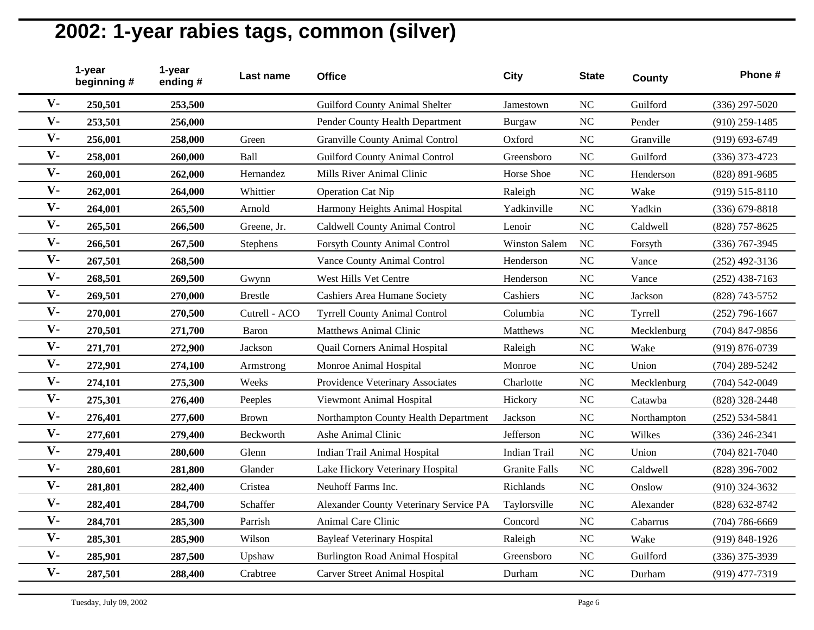|                | 1-year<br>beginning# | 1-year<br>ending# | Last name      | <b>Office</b>                          | City                 | <b>State</b> | County      | Phone #            |
|----------------|----------------------|-------------------|----------------|----------------------------------------|----------------------|--------------|-------------|--------------------|
| $V -$          | 250,501              | 253,500           |                | Guilford County Animal Shelter         | Jamestown            | <b>NC</b>    | Guilford    | $(336)$ 297-5020   |
| $V -$          | 253,501              | 256,000           |                | Pender County Health Department        | Burgaw               | <b>NC</b>    | Pender      | $(910)$ 259-1485   |
| $V -$          | 256,001              | 258,000           | Green          | <b>Granville County Animal Control</b> | Oxford               | NC           | Granville   | $(919) 693 - 6749$ |
| $V -$          | 258,001              | 260,000           | Ball           | <b>Guilford County Animal Control</b>  | Greensboro           | NC           | Guilford    | $(336)$ 373-4723   |
| $V -$          | 260,001              | 262,000           | Hernandez      | Mills River Animal Clinic              | Horse Shoe           | NC           | Henderson   | (828) 891-9685     |
| $V -$          | 262,001              | 264,000           | Whittier       | <b>Operation Cat Nip</b>               | Raleigh              | NC           | Wake        | $(919) 515 - 8110$ |
| $V -$          | 264,001              | 265,500           | Arnold         | Harmony Heights Animal Hospital        | Yadkinville          | NC           | Yadkin      | $(336) 679 - 8818$ |
| $V -$          | 265,501              | 266,500           | Greene, Jr.    | Caldwell County Animal Control         | Lenoir               | NC           | Caldwell    | (828) 757-8625     |
| $V -$          | 266,501              | 267,500           | Stephens       | Forsyth County Animal Control          | <b>Winston Salem</b> | <b>NC</b>    | Forsyth     | (336) 767-3945     |
| $V -$          | 267,501              | 268,500           |                | Vance County Animal Control            | Henderson            | NC           | Vance       | $(252)$ 492-3136   |
| $V -$          | 268,501              | 269,500           | Gwynn          | West Hills Vet Centre                  | Henderson            | NC           | Vance       | $(252)$ 438-7163   |
| $V -$          | 269,501              | 270,000           | <b>Brestle</b> | <b>Cashiers Area Humane Society</b>    | Cashiers             | <b>NC</b>    | Jackson     | (828) 743-5752     |
| $V -$          | 270,001              | 270,500           | Cutrell - ACO  | <b>Tyrrell County Animal Control</b>   | Columbia             | <b>NC</b>    | Tyrrell     | $(252)$ 796-1667   |
| $V -$          | 270,501              | 271,700           | <b>Baron</b>   | <b>Matthews Animal Clinic</b>          | Matthews             | NC           | Mecklenburg | $(704)$ 847-9856   |
| $V -$          | 271,701              | 272,900           | Jackson        | Quail Corners Animal Hospital          | Raleigh              | NC           | Wake        | $(919) 876 - 0739$ |
| $\mathbf{V}$ - | 272,901              | 274,100           | Armstrong      | Monroe Animal Hospital                 | Monroe               | <b>NC</b>    | Union       | $(704)$ 289-5242   |
| $V -$          | 274,101              | 275,300           | Weeks          | Providence Veterinary Associates       | Charlotte            | NC           | Mecklenburg | $(704) 542 - 0049$ |
| $V -$          | 275,301              | 276,400           | Peeples        | Viewmont Animal Hospital               | Hickory              | <b>NC</b>    | Catawba     | (828) 328-2448     |
| $V -$          | 276,401              | 277,600           | <b>Brown</b>   | Northampton County Health Department   | Jackson              | NC           | Northampton | $(252) 534 - 5841$ |
| $V -$          | 277,601              | 279,400           | Beckworth      | Ashe Animal Clinic                     | Jefferson            | <b>NC</b>    | Wilkes      | $(336)$ 246-2341   |
| $V -$          | 279,401              | 280,600           | Glenn          | Indian Trail Animal Hospital           | Indian Trail         | NC           | Union       | $(704)$ 821-7040   |
| $V -$          | 280,601              | 281,800           | Glander        | Lake Hickory Veterinary Hospital       | <b>Granite Falls</b> | <b>NC</b>    | Caldwell    | (828) 396-7002     |
| $V -$          | 281,801              | 282,400           | Cristea        | Neuhoff Farms Inc.                     | Richlands            | <b>NC</b>    | Onslow      | $(910)$ 324-3632   |
| $V -$          | 282,401              | 284,700           | Schaffer       | Alexander County Veterinary Service PA | Taylorsville         | NC           | Alexander   | (828) 632-8742     |
| $V -$          | 284,701              | 285,300           | Parrish        | Animal Care Clinic                     | Concord              | NC           | Cabarrus    | $(704) 786 - 6669$ |
| $V -$          | 285,301              | 285,900           | Wilson         | <b>Bayleaf Veterinary Hospital</b>     | Raleigh              | <b>NC</b>    | Wake        | (919) 848-1926     |
| $V -$          | 285,901              | 287,500           | Upshaw         | <b>Burlington Road Animal Hospital</b> | Greensboro           | <b>NC</b>    | Guilford    | (336) 375-3939     |
| $V -$          | 287,501              | 288,400           | Crabtree       | <b>Carver Street Animal Hospital</b>   | Durham               | <b>NC</b>    | Durham      | (919) 477-7319     |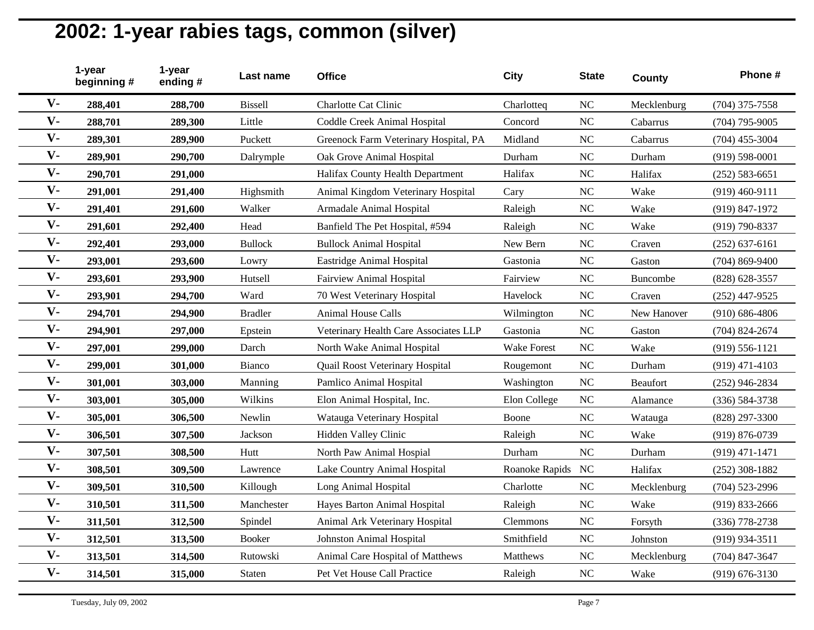|                | 1-year<br>beginning# | 1-year<br>ending# | Last name      | <b>Office</b>                         | City               | <b>State</b> | County      | Phone #            |
|----------------|----------------------|-------------------|----------------|---------------------------------------|--------------------|--------------|-------------|--------------------|
| $V -$          | 288,401              | 288,700           | <b>Bissell</b> | Charlotte Cat Clinic                  | Charlotteq         | <b>NC</b>    | Mecklenburg | $(704)$ 375-7558   |
| $V -$          | 288,701              | 289,300           | Little         | Coddle Creek Animal Hospital          | Concord            | <b>NC</b>    | Cabarrus    | $(704)$ 795-9005   |
| $V -$          | 289,301              | 289,900           | Puckett        | Greenock Farm Veterinary Hospital, PA | Midland            | NC           | Cabarrus    | $(704)$ 455-3004   |
| $V -$          | 289,901              | 290,700           | Dalrymple      | Oak Grove Animal Hospital             | Durham             | NC           | Durham      | $(919) 598 - 0001$ |
| $V -$          | 290,701              | 291,000           |                | Halifax County Health Department      | Halifax            | NC           | Halifax     | $(252) 583 - 6651$ |
| $V -$          | 291,001              | 291,400           | Highsmith      | Animal Kingdom Veterinary Hospital    | Cary               | NC           | Wake        | $(919)$ 460-9111   |
| $V -$          | 291,401              | 291,600           | Walker         | Armadale Animal Hospital              | Raleigh            | NC           | Wake        | (919) 847-1972     |
| $V -$          | 291,601              | 292,400           | Head           | Banfield The Pet Hospital, #594       | Raleigh            | NC           | Wake        | (919) 790-8337     |
| $V -$          | 292,401              | 293,000           | <b>Bullock</b> | <b>Bullock Animal Hospital</b>        | New Bern           | <b>NC</b>    | Craven      | $(252) 637 - 6161$ |
| $V -$          | 293,001              | 293,600           | Lowry          | Eastridge Animal Hospital             | Gastonia           | NC           | Gaston      | $(704) 869 - 9400$ |
| $V -$          | 293,601              | 293,900           | Hutsell        | Fairview Animal Hospital              | Fairview           | NC           | Buncombe    | (828) 628-3557     |
| $V -$          | 293,901              | 294,700           | Ward           | 70 West Veterinary Hospital           | Havelock           | <b>NC</b>    | Craven      | $(252)$ 447-9525   |
| $V -$          | 294,701              | 294,900           | <b>Bradler</b> | Animal House Calls                    | Wilmington         | <b>NC</b>    | New Hanover | $(910) 686 - 4806$ |
| $V -$          | 294,901              | 297,000           | Epstein        | Veterinary Health Care Associates LLP | Gastonia           | <b>NC</b>    | Gaston      | $(704)$ 824-2674   |
| $\mathbf{V}$ - | 297,001              | 299,000           | Darch          | North Wake Animal Hospital            | <b>Wake Forest</b> | NC           | Wake        | $(919) 556 - 1121$ |
| $V -$          | 299,001              | 301,000           | Bianco         | Quail Roost Veterinary Hospital       | Rougemont          | <b>NC</b>    | Durham      | $(919)$ 471-4103   |
| $V -$          | 301,001              | 303,000           | Manning        | Pamlico Animal Hospital               | Washington         | <b>NC</b>    | Beaufort    | $(252)$ 946-2834   |
| $V -$          | 303,001              | 305,000           | Wilkins        | Elon Animal Hospital, Inc.            | Elon College       | <b>NC</b>    | Alamance    | $(336) 584 - 3738$ |
| $V -$          | 305,001              | 306,500           | Newlin         | Watauga Veterinary Hospital           | Boone              | NC           | Watauga     | (828) 297-3300     |
| $V -$          | 306,501              | 307,500           | Jackson        | Hidden Valley Clinic                  | Raleigh            | <b>NC</b>    | Wake        | $(919) 876 - 0739$ |
| $V -$          | 307,501              | 308,500           | Hutt           | North Paw Animal Hospial              | Durham             | NC           | Durham      | $(919)$ 471-1471   |
| $V -$          | 308,501              | 309,500           | Lawrence       | Lake Country Animal Hospital          | Roanoke Rapids NC  |              | Halifax     | $(252)$ 308-1882   |
| $V -$          | 309,501              | 310,500           | Killough       | Long Animal Hospital                  | Charlotte          | <b>NC</b>    | Mecklenburg | $(704)$ 523-2996   |
| $V -$          | 310,501              | 311,500           | Manchester     | Hayes Barton Animal Hospital          | Raleigh            | NC           | Wake        | $(919) 833 - 2666$ |
| $V -$          | 311,501              | 312,500           | Spindel        | Animal Ark Veterinary Hospital        | Clemmons           | NC           | Forsyth     | $(336)$ 778-2738   |
| $V -$          | 312,501              | 313,500           | <b>Booker</b>  | Johnston Animal Hospital              | Smithfield         | <b>NC</b>    | Johnston    | (919) 934-3511     |
| $V -$          | 313,501              | 314,500           | Rutowski       | Animal Care Hospital of Matthews      | Matthews           | <b>NC</b>    | Mecklenburg | (704) 847-3647     |
| $V -$          | 314,501              | 315,000           | Staten         | Pet Vet House Call Practice           | Raleigh            | <b>NC</b>    | Wake        | $(919) 676 - 3130$ |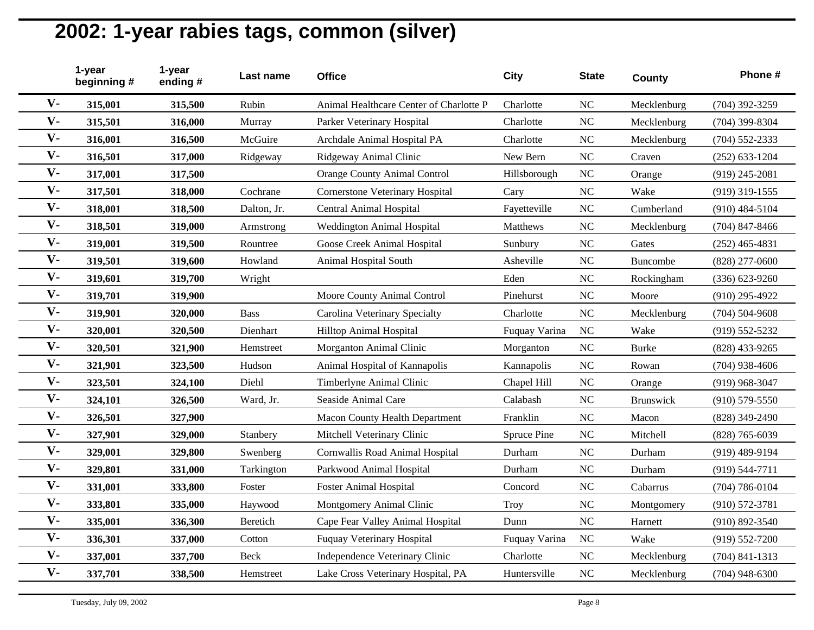|                | 1-year<br>beginning# | 1-year<br>ending# | Last name   | <b>Office</b>                           | <b>City</b>   | <b>State</b> | County           | Phone #            |
|----------------|----------------------|-------------------|-------------|-----------------------------------------|---------------|--------------|------------------|--------------------|
| $V -$          | 315,001              | 315,500           | Rubin       | Animal Healthcare Center of Charlotte P | Charlotte     | <b>NC</b>    | Mecklenburg      | (704) 392-3259     |
| $V -$          | 315,501              | 316,000           | Murray      | Parker Veterinary Hospital              | Charlotte     | <b>NC</b>    | Mecklenburg      | (704) 399-8304     |
| $V -$          | 316,001              | 316,500           | McGuire     | Archdale Animal Hospital PA             | Charlotte     | NC           | Mecklenburg      | $(704) 552 - 2333$ |
| $V -$          | 316,501              | 317,000           | Ridgeway    | Ridgeway Animal Clinic                  | New Bern      | NC           | Craven           | $(252) 633 - 1204$ |
| $V -$          | 317,001              | 317,500           |             | <b>Orange County Animal Control</b>     | Hillsborough  | NC           | Orange           | $(919)$ 245-2081   |
| $\mathbf{V}$ - | 317,501              | 318,000           | Cochrane    | <b>Cornerstone Veterinary Hospital</b>  | Cary          | NC           | Wake             | $(919)$ 319-1555   |
| $V -$          | 318,001              | 318,500           | Dalton, Jr. | Central Animal Hospital                 | Fayetteville  | <b>NC</b>    | Cumberland       | $(910)$ 484-5104   |
| $V -$          | 318,501              | 319,000           | Armstrong   | <b>Weddington Animal Hospital</b>       | Matthews      | NC           | Mecklenburg      | $(704)$ 847-8466   |
| $V -$          | 319,001              | 319,500           | Rountree    | Goose Creek Animal Hospital             | Sunbury       | NC           | Gates            | $(252)$ 465-4831   |
| $V -$          | 319,501              | 319,600           | Howland     | Animal Hospital South                   | Asheville     | NC           | Buncombe         | $(828)$ 277-0600   |
| $V -$          | 319,601              | 319,700           | Wright      |                                         | Eden          | <b>NC</b>    | Rockingham       | $(336) 623 - 9260$ |
| $V -$          | 319,701              | 319,900           |             | Moore County Animal Control             | Pinehurst     | <b>NC</b>    | Moore            | $(910)$ 295-4922   |
| $V -$          | 319,901              | 320,000           | <b>Bass</b> | Carolina Veterinary Specialty           | Charlotte     | NC           | Mecklenburg      | $(704) 504 - 9608$ |
| $V -$          | 320,001              | 320,500           | Dienhart    | Hilltop Animal Hospital                 | Fuquay Varina | <b>NC</b>    | Wake             | $(919) 552 - 5232$ |
| $V -$          | 320,501              | 321,900           | Hemstreet   | Morganton Animal Clinic                 | Morganton     | <b>NC</b>    | <b>Burke</b>     | (828) 433-9265     |
| $V -$          | 321,901              | 323,500           | Hudson      | Animal Hospital of Kannapolis           | Kannapolis    | <b>NC</b>    | Rowan            | $(704)$ 938-4606   |
| $V -$          | 323,501              | 324,100           | Diehl       | Timberlyne Animal Clinic                | Chapel Hill   | NC           | Orange           | $(919)$ 968-3047   |
| $V -$          | 324,101              | 326,500           | Ward, Jr.   | Seaside Animal Care                     | Calabash      | NC           | <b>Brunswick</b> | $(910) 579 - 5550$ |
| $V -$          | 326,501              | 327,900           |             | <b>Macon County Health Department</b>   | Franklin      | NC           | Macon            | (828) 349-2490     |
| $V -$          | 327,901              | 329,000           | Stanbery    | Mitchell Veterinary Clinic              | Spruce Pine   | <b>NC</b>    | Mitchell         | $(828)$ 765-6039   |
| $V -$          | 329,001              | 329,800           | Swenberg    | Cornwallis Road Animal Hospital         | Durham        | NC           | Durham           | $(919)$ 489-9194   |
| $V -$          | 329,801              | 331,000           | Tarkington  | Parkwood Animal Hospital                | Durham        | NC           | Durham           | (919) 544-7711     |
| $V -$          | 331,001              | 333,800           | Foster      | <b>Foster Animal Hospital</b>           | Concord       | NC           | Cabarrus         | $(704) 786 - 0104$ |
| $V -$          | 333,801              | 335,000           | Haywood     | Montgomery Animal Clinic                | <b>Troy</b>   | NC           | Montgomery       | $(910) 572 - 3781$ |
| $V -$          | 335,001              | 336,300           | Beretich    | Cape Fear Valley Animal Hospital        | Dunn          | NC           | Harnett          | $(910) 892 - 3540$ |
| $V -$          | 336,301              | 337,000           | Cotton      | <b>Fuquay Veterinary Hospital</b>       | Fuquay Varina | NC           | Wake             | $(919) 552 - 7200$ |
| $V -$          | 337,001              | 337,700           | <b>Beck</b> | Independence Veterinary Clinic          | Charlotte     | NC           | Mecklenburg      | $(704)$ 841-1313   |
| $V -$          | 337,701              | 338,500           | Hemstreet   | Lake Cross Veterinary Hospital, PA      | Huntersville  | <b>NC</b>    | Mecklenburg      | $(704)$ 948-6300   |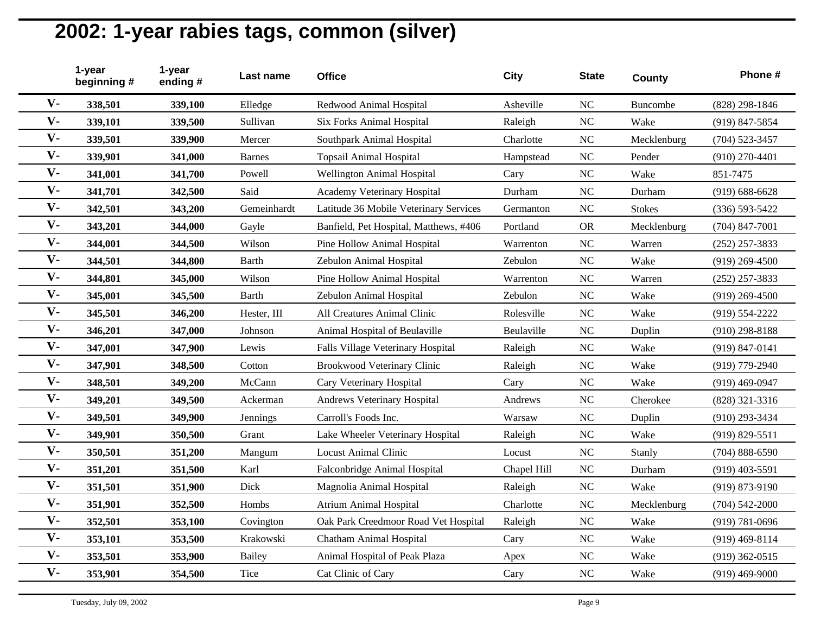|       | 1-year<br>beginning# | 1-year<br>ending# | Last name     | <b>Office</b>                          | City        | <b>State</b> | County        | Phone #            |
|-------|----------------------|-------------------|---------------|----------------------------------------|-------------|--------------|---------------|--------------------|
| $V -$ | 338,501              | 339,100           | Elledge       | Redwood Animal Hospital                | Asheville   | <b>NC</b>    | Buncombe      | (828) 298-1846     |
| $V -$ | 339,101              | 339,500           | Sullivan      | Six Forks Animal Hospital              | Raleigh     | NC           | Wake          | (919) 847-5854     |
| $V -$ | 339,501              | 339,900           | Mercer        | Southpark Animal Hospital              | Charlotte   | NC           | Mecklenburg   | $(704) 523 - 3457$ |
| $V -$ | 339,901              | 341,000           | <b>Barnes</b> | <b>Topsail Animal Hospital</b>         | Hampstead   | <b>NC</b>    | Pender        | $(910)$ 270-4401   |
| $V -$ | 341,001              | 341,700           | Powell        | <b>Wellington Animal Hospital</b>      | Cary        | <b>NC</b>    | Wake          | 851-7475           |
| $V -$ | 341,701              | 342,500           | Said          | Academy Veterinary Hospital            | Durham      | <b>NC</b>    | Durham        | $(919) 688 - 6628$ |
| $V -$ | 342,501              | 343,200           | Gemeinhardt   | Latitude 36 Mobile Veterinary Services | Germanton   | NC           | <b>Stokes</b> | $(336) 593 - 5422$ |
| $V -$ | 343,201              | 344,000           | Gayle         | Banfield, Pet Hospital, Matthews, #406 | Portland    | <b>OR</b>    | Mecklenburg   | $(704)$ 847-7001   |
| $V -$ | 344,001              | 344,500           | Wilson        | Pine Hollow Animal Hospital            | Warrenton   | NC           | Warren        | $(252)$ 257-3833   |
| $V -$ | 344,501              | 344,800           | <b>Barth</b>  | Zebulon Animal Hospital                | Zebulon     | NC           | Wake          | $(919)$ 269-4500   |
| $V -$ | 344,801              | 345,000           | Wilson        | Pine Hollow Animal Hospital            | Warrenton   | NC           | Warren        | $(252)$ 257-3833   |
| $V -$ | 345,001              | 345,500           | <b>Barth</b>  | Zebulon Animal Hospital                | Zebulon     | NC           | Wake          | $(919)$ 269-4500   |
| $V -$ | 345,501              | 346,200           | Hester, III   | All Creatures Animal Clinic            | Rolesville  | <b>NC</b>    | Wake          | (919) 554-2222     |
| $V -$ | 346,201              | 347,000           | Johnson       | Animal Hospital of Beulaville          | Beulaville  | NC           | Duplin        | $(910)$ 298-8188   |
| $V -$ | 347,001              | 347,900           | Lewis         | Falls Village Veterinary Hospital      | Raleigh     | <b>NC</b>    | Wake          | $(919) 847 - 0141$ |
| $V -$ | 347,901              | 348,500           | Cotton        | Brookwood Veterinary Clinic            | Raleigh     | <b>NC</b>    | Wake          | (919) 779-2940     |
| $V -$ | 348,501              | 349,200           | McCann        | Cary Veterinary Hospital               | Cary        | NC           | Wake          | $(919)$ 469-0947   |
| $V -$ | 349,201              | 349,500           | Ackerman      | Andrews Veterinary Hospital            | Andrews     | <b>NC</b>    | Cherokee      | (828) 321-3316     |
| $V -$ | 349,501              | 349,900           | Jennings      | Carroll's Foods Inc.                   | Warsaw      | NC           | Duplin        | (910) 293-3434     |
| $V -$ | 349,901              | 350,500           | Grant         | Lake Wheeler Veterinary Hospital       | Raleigh     | <b>NC</b>    | Wake          | $(919) 829 - 5511$ |
| $V -$ | 350,501              | 351,200           | Mangum        | <b>Locust Animal Clinic</b>            | Locust      | NC           | Stanly        | $(704) 888 - 6590$ |
| $V -$ | 351,201              | 351,500           | Karl          | Falconbridge Animal Hospital           | Chapel Hill | <b>NC</b>    | Durham        | $(919)$ 403-5591   |
| $V -$ | 351,501              | 351,900           | Dick          | Magnolia Animal Hospital               | Raleigh     | NC           | Wake          | (919) 873-9190     |
| $V -$ | 351,901              | 352,500           | Hombs         | <b>Atrium Animal Hospital</b>          | Charlotte   | NC           | Mecklenburg   | $(704) 542 - 2000$ |
| $V -$ | 352,501              | 353,100           | Covington     | Oak Park Creedmoor Road Vet Hospital   | Raleigh     | <b>NC</b>    | Wake          | $(919) 781 - 0696$ |
| $V -$ | 353,101              | 353,500           | Krakowski     | <b>Chatham Animal Hospital</b>         | Cary        | <b>NC</b>    | Wake          | $(919)$ 469-8114   |
| $V -$ | 353,501              | 353,900           | Bailey        | Animal Hospital of Peak Plaza          | Apex        | <b>NC</b>    | Wake          | $(919)$ 362-0515   |
| $V -$ | 353,901              | 354,500           | Tice          | Cat Clinic of Cary                     | Cary        | NC           | Wake          | $(919)$ 469-9000   |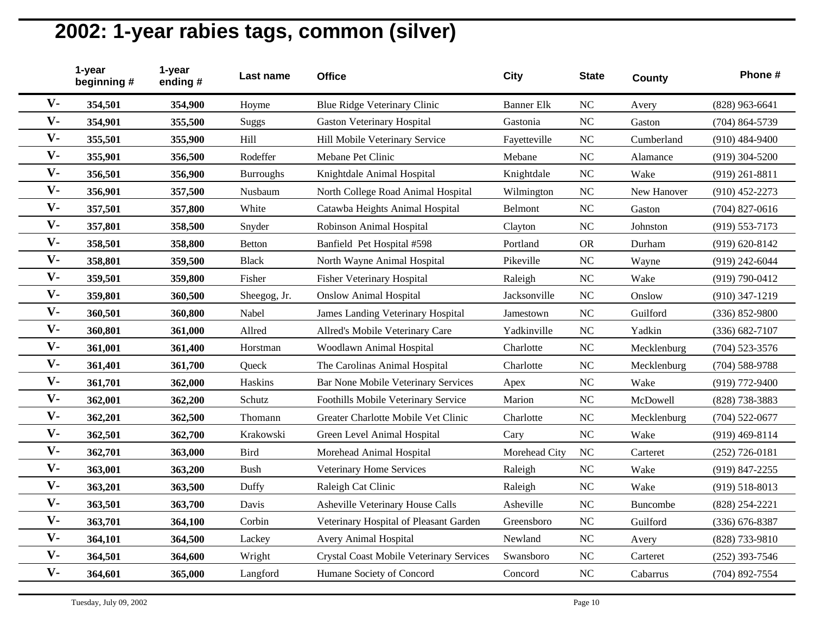|                | 1-year<br>beginning # | 1-year<br>ending# | Last name        | <b>Office</b>                                   | <b>City</b>       | <b>State</b> | County          | Phone #            |
|----------------|-----------------------|-------------------|------------------|-------------------------------------------------|-------------------|--------------|-----------------|--------------------|
| $V -$          | 354,501               | 354,900           | Hoyme            | Blue Ridge Veterinary Clinic                    | <b>Banner Elk</b> | NC           | Avery           | $(828)$ 963-6641   |
| $V -$          | 354,901               | 355,500           | Suggs            | <b>Gaston Veterinary Hospital</b>               | Gastonia          | NC           | Gaston          | $(704) 864 - 5739$ |
| $V -$          | 355,501               | 355,900           | Hill             | Hill Mobile Veterinary Service                  | Fayetteville      | <b>NC</b>    | Cumberland      | $(910)$ 484-9400   |
| $V -$          | 355,901               | 356,500           | Rodeffer         | Mebane Pet Clinic                               | Mebane            | <b>NC</b>    | Alamance        | $(919)$ 304-5200   |
| $V -$          | 356,501               | 356,900           | <b>Burroughs</b> | Knightdale Animal Hospital                      | Knightdale        | <b>NC</b>    | Wake            | $(919)$ 261-8811   |
| $V -$          | 356,901               | 357,500           | Nusbaum          | North College Road Animal Hospital              | Wilmington        | <b>NC</b>    | New Hanover     | $(910)$ 452-2273   |
| $V -$          | 357,501               | 357,800           | White            | Catawba Heights Animal Hospital                 | Belmont           | NC           | Gaston          | $(704)$ 827-0616   |
| $V -$          | 357,801               | 358,500           | Snyder           | Robinson Animal Hospital                        | Clayton           | NC           | Johnston        | $(919) 553 - 7173$ |
| $V -$          | 358,501               | 358,800           | <b>Betton</b>    | Banfield Pet Hospital #598                      | Portland          | <b>OR</b>    | Durham          | $(919) 620 - 8142$ |
| $V -$          | 358,801               | 359,500           | <b>Black</b>     | North Wayne Animal Hospital                     | Pikeville         | <b>NC</b>    | Wayne           | $(919)$ 242-6044   |
| $V -$          | 359,501               | 359,800           | Fisher           | <b>Fisher Veterinary Hospital</b>               | Raleigh           | <b>NC</b>    | Wake            | (919) 790-0412     |
| $\mathbf{V}$ - | 359,801               | 360,500           | Sheegog, Jr.     | <b>Onslow Animal Hospital</b>                   | Jacksonville      | NC           | Onslow          | $(910)$ 347-1219   |
| $V -$          | 360,501               | 360,800           | Nabel            | James Landing Veterinary Hospital               | Jamestown         | <b>NC</b>    | Guilford        | (336) 852-9800     |
| $\mathbf{V}$ - | 360,801               | 361,000           | Allred           | Allred's Mobile Veterinary Care                 | Yadkinville       | NC           | Yadkin          | $(336) 682 - 7107$ |
| $V -$          | 361,001               | 361,400           | Horstman         | Woodlawn Animal Hospital                        | Charlotte         | NC           | Mecklenburg     | $(704)$ 523-3576   |
| $V -$          | 361,401               | 361,700           | Queck            | The Carolinas Animal Hospital                   | Charlotte         | NC           | Mecklenburg     | $(704) 588 - 9788$ |
| $V -$          | 361,701               | 362,000           | Haskins          | Bar None Mobile Veterinary Services             | Apex              | <b>NC</b>    | Wake            | (919) 772-9400     |
| $V -$          | 362,001               | 362,200           | Schutz           | Foothills Mobile Veterinary Service             | Marion            | NC           | McDowell        | (828) 738-3883     |
| $V -$          | 362,201               | 362,500           | Thomann          | Greater Charlotte Mobile Vet Clinic             | Charlotte         | <b>NC</b>    | Mecklenburg     | $(704) 522 - 0677$ |
| $V -$          | 362,501               | 362,700           | Krakowski        | Green Level Animal Hospital                     | Cary              | <b>NC</b>    | Wake            | $(919)$ 469-8114   |
| $V -$          | 362,701               | 363,000           | Bird             | Morehead Animal Hospital                        | Morehead City     | <b>NC</b>    | Carteret        | $(252)$ 726-0181   |
| $V -$          | 363,001               | 363,200           | <b>Bush</b>      | Veterinary Home Services                        | Raleigh           | <b>NC</b>    | Wake            | (919) 847-2255     |
| $V -$          | 363,201               | 363,500           | Duffy            | Raleigh Cat Clinic                              | Raleigh           | <b>NC</b>    | Wake            | $(919) 518 - 8013$ |
| $V -$          | 363,501               | 363,700           | Davis            | Asheville Veterinary House Calls                | Asheville         | <b>NC</b>    | <b>Buncombe</b> | (828) 254-2221     |
| $V -$          | 363,701               | 364,100           | Corbin           | Veterinary Hospital of Pleasant Garden          | Greensboro        | <b>NC</b>    | Guilford        | $(336) 676 - 8387$ |
| $V -$          | 364,101               | 364,500           | Lackey           | <b>Avery Animal Hospital</b>                    | Newland           | <b>NC</b>    | Avery           | (828) 733-9810     |
| $V -$          | 364,501               | 364,600           | Wright           | <b>Crystal Coast Mobile Veterinary Services</b> | Swansboro         | <b>NC</b>    | Carteret        | $(252)$ 393-7546   |
| $V -$          | 364,601               | 365,000           | Langford         | Humane Society of Concord                       | Concord           | <b>NC</b>    | Cabarrus        | (704) 892-7554     |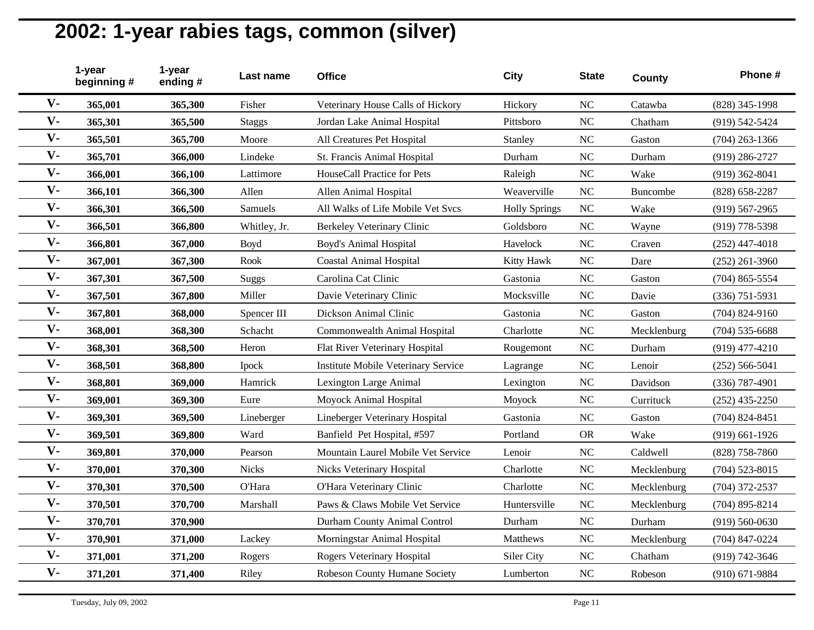|                | 1-year<br>beginning# | 1-year<br>ending# | Last name    | <b>Office</b>                       | <b>City</b>          | <b>State</b>   | County      | Phone #            |
|----------------|----------------------|-------------------|--------------|-------------------------------------|----------------------|----------------|-------------|--------------------|
| $V -$          | 365,001              | 365,300           | Fisher       | Veterinary House Calls of Hickory   | Hickory              | <b>NC</b>      | Catawba     | (828) 345-1998     |
| $V -$          | 365,301              | 365,500           | Staggs       | Jordan Lake Animal Hospital         | Pittsboro            | <b>NC</b>      | Chatham     | (919) 542-5424     |
| $V -$          | 365,501              | 365,700           | Moore        | All Creatures Pet Hospital          | Stanley              | NC             | Gaston      | $(704)$ 263-1366   |
| $V -$          | 365,701              | 366,000           | Lindeke      | St. Francis Animal Hospital         | Durham               | NC             | Durham      | $(919)$ 286-2727   |
| $V -$          | 366,001              | 366,100           | Lattimore    | HouseCall Practice for Pets         | Raleigh              | NC             | Wake        | $(919)$ 362-8041   |
| $V -$          | 366,101              | 366,300           | Allen        | Allen Animal Hospital               | Weaverville          | NC             | Buncombe    | $(828) 658 - 2287$ |
| $V -$          | 366,301              | 366,500           | Samuels      | All Walks of Life Mobile Vet Svcs   | <b>Holly Springs</b> | NC             | Wake        | $(919) 567 - 2965$ |
| $V -$          | 366,501              | 366,800           | Whitley, Jr. | Berkeley Veterinary Clinic          | Goldsboro            | NC             | Wayne       | (919) 778-5398     |
| $V -$          | 366,801              | 367,000           | Boyd         | <b>Boyd's Animal Hospital</b>       | Havelock             | <b>NC</b>      | Craven      | $(252)$ 447-4018   |
| $V -$          | 367,001              | 367,300           | Rook         | <b>Coastal Animal Hospital</b>      | Kitty Hawk           | NC             | Dare        | $(252)$ 261-3960   |
| $V -$          | 367,301              | 367,500           | Suggs        | Carolina Cat Clinic                 | Gastonia             | <b>NC</b>      | Gaston      | $(704)$ 865-5554   |
| $V -$          | 367,501              | 367,800           | Miller       | Davie Veterinary Clinic             | Mocksville           | N <sub>C</sub> | Davie       | $(336)$ 751-5931   |
| $V -$          | 367,801              | 368,000           | Spencer III  | Dickson Animal Clinic               | Gastonia             | N <sub>C</sub> | Gaston      | $(704) 824 - 9160$ |
| $V -$          | 368,001              | 368,300           | Schacht      | Commonwealth Animal Hospital        | Charlotte            | NC             | Mecklenburg | $(704)$ 535-6688   |
| $V -$          | 368,301              | 368,500           | Heron        | Flat River Veterinary Hospital      | Rougemont            | NC             | Durham      | $(919)$ 477-4210   |
| $\mathbf{V}$ - | 368,501              | 368,800           | Ipock        | Institute Mobile Veterinary Service | Lagrange             | <b>NC</b>      | Lenoir      | $(252) 566 - 5041$ |
| $V -$          | 368,801              | 369,000           | Hamrick      | Lexington Large Animal              | Lexington            | NC             | Davidson    | $(336)$ 787-4901   |
| $V -$          | 369,001              | 369,300           | Eure         | Moyock Animal Hospital              | Moyock               | <b>NC</b>      | Currituck   | $(252)$ 435-2250   |
| $V -$          | 369,301              | 369,500           | Lineberger   | Lineberger Veterinary Hospital      | Gastonia             | <b>NC</b>      | Gaston      | $(704)$ 824-8451   |
| $V -$          | 369,501              | 369,800           | Ward         | Banfield Pet Hospital, #597         | Portland             | <b>OR</b>      | Wake        | $(919)$ 661-1926   |
| $V -$          | 369,801              | 370,000           | Pearson      | Mountain Laurel Mobile Vet Service  | Lenoir               | NC             | Caldwell    | $(828)$ 758-7860   |
| $V -$          | 370,001              | 370,300           | <b>Nicks</b> | Nicks Veterinary Hospital           | Charlotte            | <b>NC</b>      | Mecklenburg | $(704)$ 523-8015   |
| $V -$          | 370,301              | 370,500           | O'Hara       | O'Hara Veterinary Clinic            | Charlotte            | <b>NC</b>      | Mecklenburg | $(704)$ 372-2537   |
| $V -$          | 370,501              | 370,700           | Marshall     | Paws & Claws Mobile Vet Service     | Huntersville         | NC             | Mecklenburg | $(704)$ 895-8214   |
| $V -$          | 370,701              | 370,900           |              | Durham County Animal Control        | Durham               | NC             | Durham      | $(919) 560 - 0630$ |
| $V -$          | 370,901              | 371,000           | Lackey       | Morningstar Animal Hospital         | Matthews             | NC             | Mecklenburg | (704) 847-0224     |
| $V -$          | 371,001              | 371,200           | Rogers       | <b>Rogers Veterinary Hospital</b>   | Siler City           | <b>NC</b>      | Chatham     | (919) 742-3646     |
| $V -$          | 371,201              | 371,400           | Riley        | Robeson County Humane Society       | Lumberton            | <b>NC</b>      | Robeson     | $(910) 671 - 9884$ |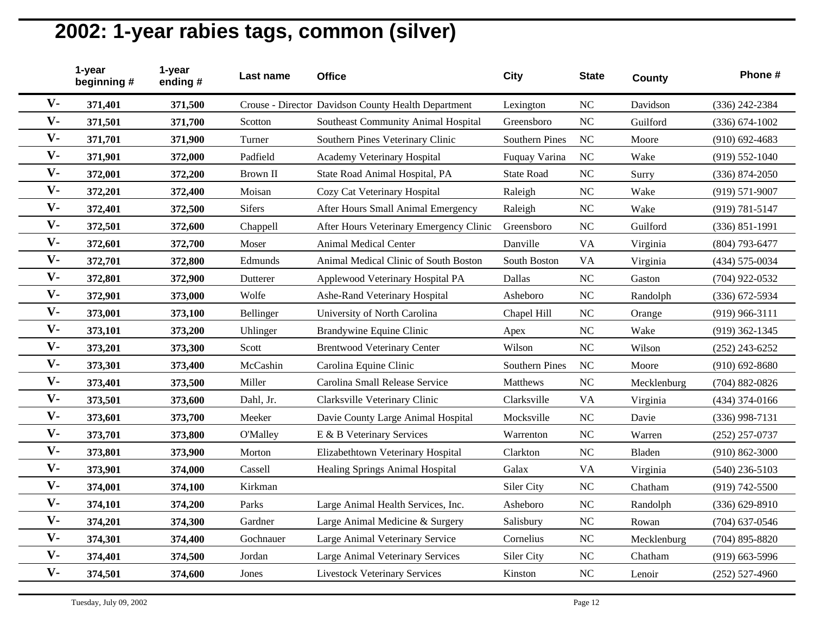|                | 1-year<br>beginning # | 1-year<br>ending# | Last name     | <b>Office</b>                                       | <b>City</b>           | <b>State</b>   | County      | Phone #            |
|----------------|-----------------------|-------------------|---------------|-----------------------------------------------------|-----------------------|----------------|-------------|--------------------|
| $V -$          | 371,401               | 371,500           |               | Crouse - Director Davidson County Health Department | Lexington             | <b>NC</b>      | Davidson    | (336) 242-2384     |
| $V -$          | 371,501               | 371,700           | Scotton       | Southeast Community Animal Hospital                 | Greensboro            | <b>NC</b>      | Guilford    | $(336) 674 - 1002$ |
| $V -$          | 371,701               | 371,900           | Turner        | Southern Pines Veterinary Clinic                    | <b>Southern Pines</b> | <b>NC</b>      | Moore       | $(910)$ 692-4683   |
| $V -$          | 371,901               | 372,000           | Padfield      | Academy Veterinary Hospital                         | Fuquay Varina         | <b>NC</b>      | Wake        | $(919) 552 - 1040$ |
| $V -$          | 372,001               | 372,200           | Brown II      | State Road Animal Hospital, PA                      | <b>State Road</b>     | <b>NC</b>      | Surry       | (336) 874-2050     |
| $\mathbf{V}$ - | 372,201               | 372,400           | Moisan        | Cozy Cat Veterinary Hospital                        | Raleigh               | <b>NC</b>      | Wake        | $(919) 571 - 9007$ |
| $V -$          | 372,401               | 372,500           | <b>Sifers</b> | After Hours Small Animal Emergency                  | Raleigh               | <b>NC</b>      | Wake        | $(919) 781 - 5147$ |
| $V -$          | 372,501               | 372,600           | Chappell      | After Hours Veterinary Emergency Clinic             | Greensboro            | <b>NC</b>      | Guilford    | $(336) 851 - 1991$ |
| $V -$          | 372,601               | 372,700           | Moser         | <b>Animal Medical Center</b>                        | Danville              | <b>VA</b>      | Virginia    | (804) 793-6477     |
| $V -$          | 372,701               | 372,800           | Edmunds       | Animal Medical Clinic of South Boston               | South Boston          | <b>VA</b>      | Virginia    | (434) 575-0034     |
| $V -$          | 372,801               | 372,900           | Dutterer      | Applewood Veterinary Hospital PA                    | Dallas                | N <sub>C</sub> | Gaston      | (704) 922-0532     |
| $V -$          | 372,901               | 373,000           | Wolfe         | Ashe-Rand Veterinary Hospital                       | Asheboro              | <b>NC</b>      | Randolph    | (336) 672-5934     |
| $V -$          | 373,001               | 373,100           | Bellinger     | University of North Carolina                        | Chapel Hill           | <b>NC</b>      | Orange      | $(919)$ 966-3111   |
| $V -$          | 373,101               | 373,200           | Uhlinger      | Brandywine Equine Clinic                            | Apex                  | <b>NC</b>      | Wake        | $(919)$ 362-1345   |
| $V -$          | 373,201               | 373,300           | Scott         | <b>Brentwood Veterinary Center</b>                  | Wilson                | <b>NC</b>      | Wilson      | $(252)$ 243-6252   |
| $V -$          | 373,301               | 373,400           | McCashin      | Carolina Equine Clinic                              | Southern Pines        | <b>NC</b>      | Moore       | $(910)$ 692-8680   |
| $V -$          | 373,401               | 373,500           | Miller        | Carolina Small Release Service                      | Matthews              | <b>NC</b>      | Mecklenburg | $(704)$ 882-0826   |
| $V -$          | 373,501               | 373,600           | Dahl, Jr.     | Clarksville Veterinary Clinic                       | Clarksville           | <b>VA</b>      | Virginia    | $(434)$ 374-0166   |
| $V -$          | 373,601               | 373,700           | Meeker        | Davie County Large Animal Hospital                  | Mocksville            | <b>NC</b>      | Davie       | $(336)$ 998-7131   |
| $V -$          | 373,701               | 373,800           | O'Malley      | E & B Veterinary Services                           | Warrenton             | <b>NC</b>      | Warren      | $(252)$ 257-0737   |
| $V -$          | 373,801               | 373,900           | Morton        | Elizabethtown Veterinary Hospital                   | Clarkton              | NC             | Bladen      | $(910) 862 - 3000$ |
| $V -$          | 373,901               | 374,000           | Cassell       | Healing Springs Animal Hospital                     | Galax                 | <b>VA</b>      | Virginia    | $(540)$ 236-5103   |
| $V -$          | 374,001               | 374,100           | Kirkman       |                                                     | Siler City            | <b>NC</b>      | Chatham     | $(919) 742 - 5500$ |
| $V -$          | 374,101               | 374,200           | Parks         | Large Animal Health Services, Inc.                  | Asheboro              | <b>NC</b>      | Randolph    | $(336) 629 - 8910$ |
| $V -$          | 374,201               | 374,300           | Gardner       | Large Animal Medicine & Surgery                     | Salisbury             | <b>NC</b>      | Rowan       | $(704)$ 637-0546   |
| $V -$          | 374,301               | 374,400           | Gochnauer     | Large Animal Veterinary Service                     | Cornelius             | <b>NC</b>      | Mecklenburg | $(704)$ 895-8820   |
| $V -$          | 374,401               | 374,500           | Jordan        | Large Animal Veterinary Services                    | Siler City            | <b>NC</b>      | Chatham     | $(919)$ 663-5996   |
| $V -$          | 374,501               | 374,600           | Jones         | <b>Livestock Veterinary Services</b>                | Kinston               | <b>NC</b>      | Lenoir      | $(252) 527 - 4960$ |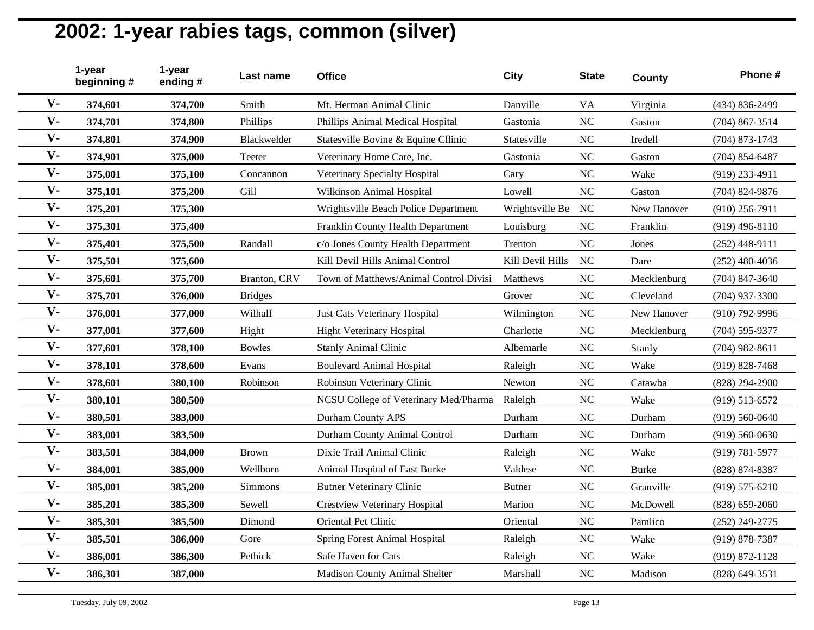|                | 1-year<br>beginning # | 1-year<br>ending# | Last name      | <b>Office</b>                          | <b>City</b>      | <b>State</b>   | <b>County</b> | Phone #            |
|----------------|-----------------------|-------------------|----------------|----------------------------------------|------------------|----------------|---------------|--------------------|
| $\mathbf{V}$ - | 374,601               | 374,700           | Smith          | Mt. Herman Animal Clinic               | Danville         | <b>VA</b>      | Virginia      | (434) 836-2499     |
| $V -$          | 374,701               | 374,800           | Phillips       | Phillips Animal Medical Hospital       | Gastonia         | NC             | Gaston        | $(704)$ 867-3514   |
| $V -$          | 374,801               | 374,900           | Blackwelder    | Statesville Bovine & Equine Cllinic    | Statesville      | NC             | Iredell       | $(704)$ 873-1743   |
| $V -$          | 374,901               | 375,000           | Teeter         | Veterinary Home Care, Inc.             | Gastonia         | NC             | Gaston        | $(704) 854 - 6487$ |
| $V -$          | 375,001               | 375,100           | Concannon      | Veterinary Specialty Hospital          | Cary             | <b>NC</b>      | Wake          | (919) 233-4911     |
| $V -$          | 375,101               | 375,200           | Gill           | Wilkinson Animal Hospital              | Lowell           | NC             | Gaston        | $(704)$ 824-9876   |
| $V -$          | 375,201               | 375,300           |                | Wrightsville Beach Police Department   | Wrightsville Be  | <b>NC</b>      | New Hanover   | $(910)$ 256-7911   |
| $V -$          | 375,301               | 375,400           |                | Franklin County Health Department      | Louisburg        | NC             | Franklin      | $(919)$ 496-8110   |
| $V -$          | 375,401               | 375,500           | Randall        | c/o Jones County Health Department     | Trenton          | NC             | Jones         | $(252)$ 448-9111   |
| $V -$          | 375,501               | 375,600           |                | Kill Devil Hills Animal Control        | Kill Devil Hills | <b>NC</b>      | Dare          | $(252)$ 480-4036   |
| $V -$          | 375,601               | 375,700           | Branton, CRV   | Town of Matthews/Animal Control Divisi | Matthews         | NC             | Mecklenburg   | $(704)$ 847-3640   |
| $V -$          | 375,701               | 376,000           | <b>Bridges</b> |                                        | Grover           | NC             | Cleveland     | $(704)$ 937-3300   |
| $\mathbf{V}$ - | 376,001               | 377,000           | Wilhalf        | Just Cats Veterinary Hospital          | Wilmington       | NC             | New Hanover   | (910) 792-9996     |
| $V -$          | 377,001               | 377,600           | Hight          | <b>Hight Veterinary Hospital</b>       | Charlotte        | <b>NC</b>      | Mecklenburg   | $(704)$ 595-9377   |
| $V -$          | 377,601               | 378,100           | <b>Bowles</b>  | <b>Stanly Animal Clinic</b>            | Albemarle        | <b>NC</b>      | Stanly        | $(704)$ 982-8611   |
| $V -$          | 378,101               | 378,600           | Evans          | <b>Boulevard Animal Hospital</b>       | Raleigh          | <b>NC</b>      | Wake          | $(919)$ 828-7468   |
| $V -$          | 378,601               | 380,100           | Robinson       | Robinson Veterinary Clinic             | Newton           | <b>NC</b>      | Catawba       | $(828)$ 294-2900   |
| $V -$          | 380,101               | 380,500           |                | NCSU College of Veterinary Med/Pharma  | Raleigh          | NC             | Wake          | $(919) 513 - 6572$ |
| $V -$          | 380,501               | 383,000           |                | Durham County APS                      | Durham           | NC             | Durham        | $(919) 560 - 0640$ |
| $V -$          | 383,001               | 383,500           |                | Durham County Animal Control           | Durham           | <b>NC</b>      | Durham        | $(919) 560 - 0630$ |
| $V -$          | 383,501               | 384,000           | <b>Brown</b>   | Dixie Trail Animal Clinic              | Raleigh          | <b>NC</b>      | Wake          | $(919) 781 - 5977$ |
| $V -$          | 384,001               | 385,000           | Wellborn       | Animal Hospital of East Burke          | Valdese          | <b>NC</b>      | <b>Burke</b>  | (828) 874-8387     |
| $V -$          | 385,001               | 385,200           | Simmons        | <b>Butner Veterinary Clinic</b>        | <b>Butner</b>    | <b>NC</b>      | Granville     | $(919) 575 - 6210$ |
| $V -$          | 385,201               | 385,300           | Sewell         | <b>Crestview Veterinary Hospital</b>   | Marion           | NC             | McDowell      | $(828) 659 - 2060$ |
| $V -$          | 385,301               | 385,500           | Dimond         | Oriental Pet Clinic                    | Oriental         | NC             | Pamlico       | $(252)$ 249-2775   |
| $V -$          | 385,501               | 386,000           | Gore           | <b>Spring Forest Animal Hospital</b>   | Raleigh          | NC             | Wake          | (919) 878-7387     |
| $V -$          | 386,001               | 386,300           | Pethick        | Safe Haven for Cats                    | Raleigh          | N <sub>C</sub> | Wake          | $(919) 872 - 1128$ |
| $V -$          | 386,301               | 387,000           |                | Madison County Animal Shelter          | Marshall         | <b>NC</b>      | Madison       | (828) 649-3531     |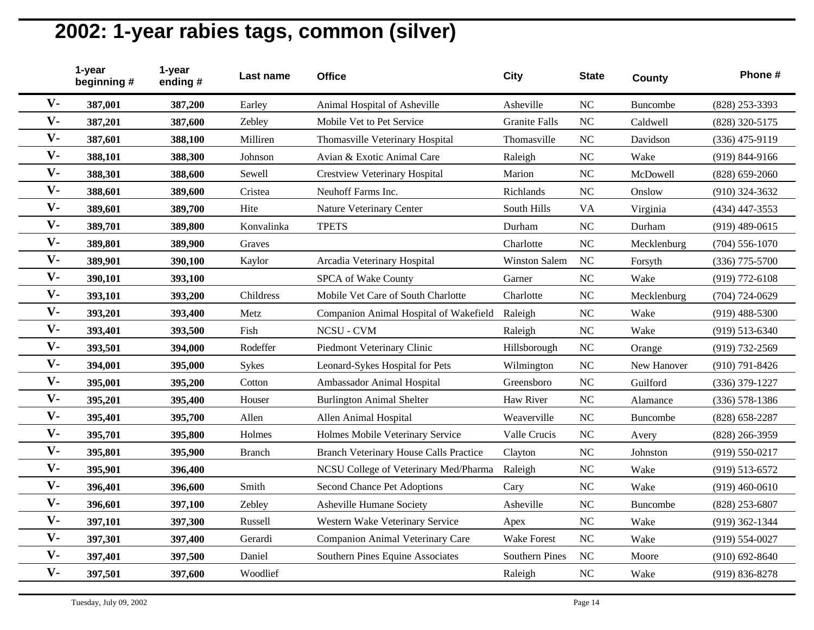|       | 1-year<br>beginning # | 1-year<br>ending# | Last name     | <b>Office</b>                                 | <b>City</b>           | <b>State</b>   | County          | Phone #            |
|-------|-----------------------|-------------------|---------------|-----------------------------------------------|-----------------------|----------------|-----------------|--------------------|
| $V -$ | 387,001               | 387,200           | Earley        | Animal Hospital of Asheville                  | Asheville             | <b>NC</b>      | <b>Buncombe</b> | (828) 253-3393     |
| $V -$ | 387,201               | 387,600           | Zebley        | Mobile Vet to Pet Service                     | <b>Granite Falls</b>  | <b>NC</b>      | Caldwell        | (828) 320-5175     |
| $V -$ | 387,601               | 388,100           | Milliren      | Thomasville Veterinary Hospital               | Thomasville           | <b>NC</b>      | Davidson        | $(336)$ 475-9119   |
| $V -$ | 388,101               | 388,300           | Johnson       | Avian & Exotic Animal Care                    | Raleigh               | <b>NC</b>      | Wake            | $(919) 844 - 9166$ |
| $V -$ | 388,301               | 388,600           | Sewell        | <b>Crestview Veterinary Hospital</b>          | Marion                | <b>NC</b>      | McDowell        | $(828) 659 - 2060$ |
| $V -$ | 388,601               | 389,600           | Cristea       | Neuhoff Farms Inc.                            | Richlands             | <b>NC</b>      | Onslow          | $(910)$ 324-3632   |
| $V -$ | 389,601               | 389,700           | Hite          | Nature Veterinary Center                      | South Hills           | <b>VA</b>      | Virginia        | $(434)$ 447-3553   |
| $V -$ | 389,701               | 389,800           | Konvalinka    | <b>TPETS</b>                                  | Durham                | N <sub>C</sub> | Durham          | $(919)$ 489-0615   |
| $V -$ | 389,801               | 389,900           | Graves        |                                               | Charlotte             | <b>NC</b>      | Mecklenburg     | $(704) 556 - 1070$ |
| $V -$ | 389,901               | 390,100           | Kaylor        | Arcadia Veterinary Hospital                   | Winston Salem         | <b>NC</b>      | Forsyth         | (336) 775-5700     |
| $V -$ | 390,101               | 393,100           |               | SPCA of Wake County                           | Garner                | <b>NC</b>      | Wake            | $(919)$ 772-6108   |
| $V -$ | 393,101               | 393,200           | Childress     | Mobile Vet Care of South Charlotte            | Charlotte             | <b>NC</b>      | Mecklenburg     | $(704) 724 - 0629$ |
| $V -$ | 393,201               | 393,400           | Metz          | Companion Animal Hospital of Wakefield        | Raleigh               | <b>NC</b>      | Wake            | $(919)$ 488-5300   |
| $V -$ | 393,401               | 393,500           | Fish          | NCSU - CVM                                    | Raleigh               | <b>NC</b>      | Wake            | $(919) 513 - 6340$ |
| $V -$ | 393,501               | 394,000           | Rodeffer      | Piedmont Veterinary Clinic                    | Hillsborough          | <b>NC</b>      | Orange          | (919) 732-2569     |
| $V -$ | 394,001               | 395,000           | <b>Sykes</b>  | Leonard-Sykes Hospital for Pets               | Wilmington            | <b>NC</b>      | New Hanover     | $(910) 791 - 8426$ |
| $V -$ | 395,001               | 395,200           | Cotton        | Ambassador Animal Hospital                    | Greensboro            | <b>NC</b>      | Guilford        | (336) 379-1227     |
| $V -$ | 395,201               | 395,400           | Houser        | <b>Burlington Animal Shelter</b>              | Haw River             | <b>NC</b>      | Alamance        | $(336) 578 - 1386$ |
| $V -$ | 395,401               | 395,700           | Allen         | Allen Animal Hospital                         | Weaverville           | <b>NC</b>      | <b>Buncombe</b> | $(828)$ 658-2287   |
| $V -$ | 395,701               | 395,800           | Holmes        | Holmes Mobile Veterinary Service              | Valle Crucis          | <b>NC</b>      | Avery           | $(828)$ 266-3959   |
| $V -$ | 395,801               | 395,900           | <b>Branch</b> | <b>Branch Veterinary House Calls Practice</b> | Clayton               | <b>NC</b>      | Johnston        | $(919) 550 - 0217$ |
| $V -$ | 395,901               | 396,400           |               | NCSU College of Veterinary Med/Pharma         | Raleigh               | <b>NC</b>      | Wake            | $(919) 513 - 6572$ |
| $V -$ | 396,401               | 396,600           | Smith         | Second Chance Pet Adoptions                   | Cary                  | <b>NC</b>      | Wake            | $(919)$ 460-0610   |
| $V -$ | 396,601               | 397,100           | Zebley        | Asheville Humane Society                      | Asheville             | <b>NC</b>      | <b>Buncombe</b> | (828) 253-6807     |
| $V -$ | 397,101               | 397,300           | Russell       | Western Wake Veterinary Service               | Apex                  | <b>NC</b>      | Wake            | $(919)$ 362-1344   |
| $V -$ | 397,301               | 397,400           | Gerardi       | Companion Animal Veterinary Care              | <b>Wake Forest</b>    | <b>NC</b>      | Wake            | $(919) 554 - 0027$ |
| $V -$ | 397,401               | 397,500           | Daniel        | Southern Pines Equine Associates              | <b>Southern Pines</b> | <b>NC</b>      | Moore           | $(910) 692 - 8640$ |
| $V -$ | 397,501               | 397,600           | Woodlief      |                                               | Raleigh               | <b>NC</b>      | Wake            | $(919) 836 - 8278$ |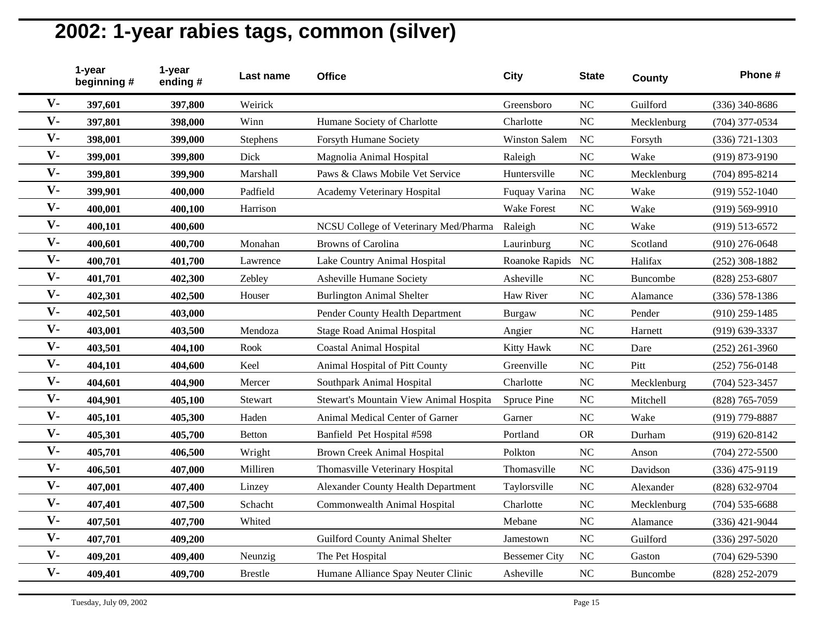|                | 1-year<br>beginning # | 1-year<br>ending# | Last name      | <b>Office</b>                             | <b>City</b>          | <b>State</b> | County          | Phone #            |
|----------------|-----------------------|-------------------|----------------|-------------------------------------------|----------------------|--------------|-----------------|--------------------|
| $V -$          | 397,601               | 397,800           | Weirick        |                                           | Greensboro           | <b>NC</b>    | Guilford        | (336) 340-8686     |
| $V -$          | 397,801               | 398,000           | Winn           | Humane Society of Charlotte               | Charlotte            | NC           | Mecklenburg     | (704) 377-0534     |
| $V -$          | 398,001               | 399,000           | Stephens       | Forsyth Humane Society                    | <b>Winston Salem</b> | <b>NC</b>    | Forsyth         | $(336) 721 - 1303$ |
| $V -$          | 399,001               | 399,800           | Dick           | Magnolia Animal Hospital                  | Raleigh              | <b>NC</b>    | Wake            | (919) 873-9190     |
| $V -$          | 399,801               | 399,900           | Marshall       | Paws & Claws Mobile Vet Service           | Huntersville         | <b>NC</b>    | Mecklenburg     | $(704)$ 895-8214   |
| $V -$          | 399,901               | 400,000           | Padfield       | Academy Veterinary Hospital               | Fuquay Varina        | NC           | Wake            | $(919) 552 - 1040$ |
| $V -$          | 400,001               | 400,100           | Harrison       |                                           | <b>Wake Forest</b>   | NC           | Wake            | $(919) 569 - 9910$ |
| $V -$          | 400,101               | 400,600           |                | NCSU College of Veterinary Med/Pharma     | Raleigh              | NC           | Wake            | $(919) 513 - 6572$ |
| $V -$          | 400,601               | 400,700           | Monahan        | <b>Browns</b> of Carolina                 | Laurinburg           | NC           | Scotland        | $(910)$ 276-0648   |
| $V -$          | 400,701               | 401,700           | Lawrence       | Lake Country Animal Hospital              | Roanoke Rapids       | NC           | Halifax         | $(252)$ 308-1882   |
| $V -$          | 401,701               | 402,300           | Zebley         | Asheville Humane Society                  | Asheville            | NC           | <b>Buncombe</b> | $(828)$ 253-6807   |
| $V -$          | 402,301               | 402,500           | Houser         | <b>Burlington Animal Shelter</b>          | Haw River            | <b>NC</b>    | Alamance        | $(336) 578 - 1386$ |
| $\mathbf{V}$ - | 402,501               | 403,000           |                | Pender County Health Department           | Burgaw               | NC           | Pender          | $(910)$ 259-1485   |
| $V -$          | 403,001               | 403,500           | Mendoza        | <b>Stage Road Animal Hospital</b>         | Angier               | <b>NC</b>    | Harnett         | (919) 639-3337     |
| $V -$          | 403,501               | 404,100           | Rook           | <b>Coastal Animal Hospital</b>            | Kitty Hawk           | NC           | Dare            | $(252)$ 261-3960   |
| $V -$          | 404,101               | 404,600           | Keel           | Animal Hospital of Pitt County            | Greenville           | <b>NC</b>    | Pitt            | $(252)$ 756-0148   |
| $V -$          | 404,601               | 404,900           | Mercer         | Southpark Animal Hospital                 | Charlotte            | <b>NC</b>    | Mecklenburg     | $(704)$ 523-3457   |
| $V -$          | 404,901               | 405,100           | Stewart        | Stewart's Mountain View Animal Hospita    | Spruce Pine          | NC           | Mitchell        | (828) 765-7059     |
| $V -$          | 405,101               | 405,300           | Haden          | Animal Medical Center of Garner           | Garner               | NC           | Wake            | (919) 779-8887     |
| $V -$          | 405,301               | 405,700           | <b>Betton</b>  | Banfield Pet Hospital #598                | Portland             | <b>OR</b>    | Durham          | $(919) 620 - 8142$ |
| $V -$          | 405,701               | 406,500           | Wright         | <b>Brown Creek Animal Hospital</b>        | Polkton              | NC           | Anson           | $(704)$ 272-5500   |
| $V -$          | 406,501               | 407,000           | Milliren       | Thomasville Veterinary Hospital           | Thomasville          | <b>NC</b>    | Davidson        | $(336)$ 475-9119   |
| $V -$          | 407,001               | 407,400           | Linzey         | <b>Alexander County Health Department</b> | Taylorsville         | NC           | Alexander       | (828) 632-9704     |
| $V -$          | 407,401               | 407,500           | Schacht        | Commonwealth Animal Hospital              | Charlotte            | NC           | Mecklenburg     | $(704)$ 535-6688   |
| $V -$          | 407,501               | 407,700           | Whited         |                                           | Mebane               | NC           | Alamance        | $(336)$ 421-9044   |
| $V -$          | 407,701               | 409,200           |                | <b>Guilford County Animal Shelter</b>     | Jamestown            | NC           | Guilford        | $(336)$ 297-5020   |
| $V -$          | 409,201               | 409,400           | Neunzig        | The Pet Hospital                          | <b>Bessemer City</b> | <b>NC</b>    | Gaston          | $(704)$ 629-5390   |
| $V -$          | 409,401               | 409,700           | <b>Brestle</b> | Humane Alliance Spay Neuter Clinic        | Asheville            | <b>NC</b>    | <b>Buncombe</b> | (828) 252-2079     |